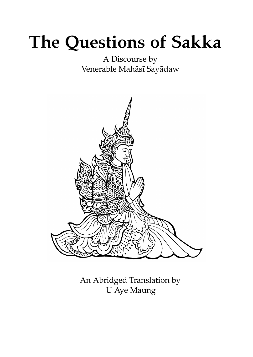# **The Questions of Sakka**

# A Discourse by Venerable Mahāsī Sayādaw



An Abridged Translation by U Aye Maung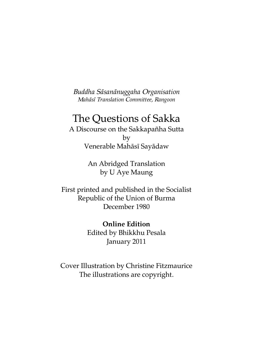*Buddha Sāsanānuggaha Organisation Mahāsī Translation Committee, Rangoon*

## The Questions of Sakka

A Discourse on the Sakkapañha Sutta by Venerable Mahāsī Sayādaw

> An Abridged Translation by U Aye Maung

First printed and published in the Socialist Republic of the Union of Burma December 1980

> **Online Edition** Edited by Bhikkhu Pesala January 2011

Cover Illustration by Christine Fitzmaurice The illustrations are copyright.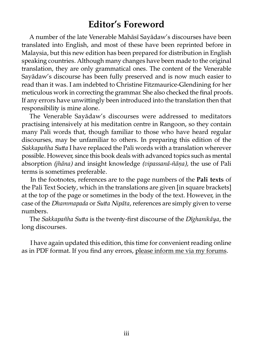## **Editor's Foreword**

A number of the late Venerable Mahāsī Sayādaw's discourses have been anslated into English, and most of these have been reprinted before in Malaysia, but this new edition has been prepared for distribution in English speaking countries. Although many changes have been made to the original anslation, they are only grammatical ones. The content of the Venerable Sayādaw's discourse has been fully preserved and is now much easier to read than it was. I am indebted to Christine Fitzmaurice-Glendining for her meticulous work in correcting the grammar. She also checked the final proofs. If any errors have unwittingly been introduced into the translation then that responsibility is mine alone.

The Venerable Sayādaw's discourses were addressed to meditators practising intensively at his meditation centre in Rangoon, so they contain many Pali words that, though familiar to those who have heard regular discourses, may be unfamiliar to others. In preparing this edition of the *Sakkapañha Sutta* I have replaced the Pali words with a translation wherever possible. However, since this book deals with advanced topics such as mental absorption *(jhāna)* and insight knowledge *(vipassanā-ñāṇa),* the use of Pali terms is sometimes preferable.

In the footnotes, references are to the page numbers of the **Pali texts** of the Pali Text Society, which in the translations are given [in square brackets] at the top of the page or sometimes in the body of the text. However, in the case of the *Dhammapada* or *Sutta Nipāta*, references are simply given to verse numbers.

The *Sakkapañha Sutta* is the twenty-first discourse of the *Dīghanikāya*, the long discourses.

I have again updated this edition, this time for convenient reading online as in PDF format. If you find any errors, [please inform me via my forums.](http://my.opera.com/vipassana/forums/forum.dml?id=6844)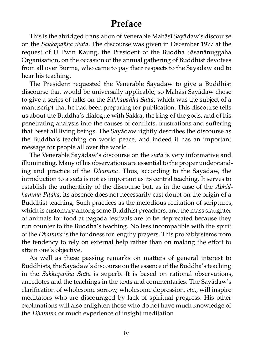# **Preface**

This is the abridged translation of Venerable Mahāsī Sayādaw's discourse on the *Sakkapañha Sutta*. The discourse was given in December 1977 at the request of U Pwin Kaung, the President of the Buddha Sāsanānuggaha Organisation, on the occasion of the annual gathering of Buddhist devotees from all over Burma, who came to pay their respects to the Sayadaw and to hear his teaching.

The President requested the Venerable Sayādaw to give a Buddhist discourse that would be universally applicable, so Mahāsī Sayādaw chose to give a series of talks on the *Sakkapañha Sutta*, which was the subject of a manuscript that he had been preparing for publication. This discourse tells us about the Buddha's dialogue with Sakka, the king of the gods, and of his penetrating analysis into the causes of conflicts, frustrations and suffering that beset all living beings. The Sayādaw rightly describes the discourse as the Buddha's teaching on world peace, and indeed it has an important message for people all over the world.

The Venerable Sayādaw's discourse on the *sutta* is very informative and illuminating. Many of his observations are essential to the proper understanding and practice of the *Dhamma.* Thus, according to the Sayādaw, the introduction to a *sutta* is not as important as its central teaching. It serves to establish the authenticity of the discourse but, as in the case of the *Abhidhamma Piṭaka*, its absence does not necessarily cast doubt on the origin of a Buddhist teaching. Such practices as the melodious recitation of scriptures, which is customary among some Buddhist preachers, and the mass slaughter of animals for food at pagoda festivals are to be deprecated because they run counter to the Buddha's teaching. No less incompatible with the spirit of the *Dhamma* is the fondness for lengthy prayers. This probably stems from the tendency to rely on external help rather than on making the effort to attain one's objective.

As well as these passing remarks on matters of general interest to Buddhists, the Sayādaw's discourse on the essence of the Buddha's teaching in the *Sakkapañha Sutta* is superb. It is based on rational observations, anecdotes and the teachings in the texts and commentaries. The Sayādaw's clarification of wholesome sorrow, wholesome depression, *etc.,* will inspire meditators who are discouraged by lack of spiritual progress. His other explanations will also enlighten those who do not have much knowledge of the *Dhamma* or much experience of insight meditation.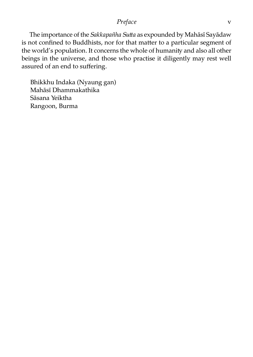*Preface* v

The importance of the *Sakkapañha Sutta* as expounded by Mahāsī Sayādaw is not confined to Buddhists, nor for that matter to a particular segment of the world's population. It concerns the whole of humanity and also all other beings in the universe, and those who practise it diligently may rest well assured of an end to suffering.

Bhikkhu Indaka (Nyaung gan) Mahāsī Dhammakathika Sāsana Yeiktha Rangoon, Burma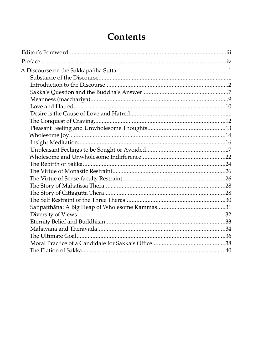# Contents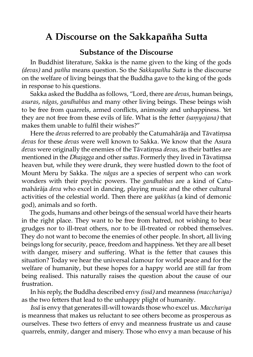# **A Discourse on the Sakkapañha Sutta**

#### **Substance of the Discourse**

In Buddhist literature, Sakka is the name given to the king of the gods *(devas)* and *pañha* means question. So the *Sakkapañha Sutta* is the discourse on the welfare of living beings that the Buddha gave to the king of the gods in response to his questions.

Sakka asked the Buddha as follows, "Lord, there are *devas,* human beings, *asuras, nāgas, gandhabbas* and many other living beings. These beings wish to be free from quarrels, armed conflicts, animosity and unhappiness. Yet they are not free from these evils of life. What is the fetter *(samyojana)* that makes them unable to fulfil their wishes?"

Here the *devas* referred to are probably the Catumahārāja and Tāvatiṃsa *devas* for these *devas* were well known to Sakka. We know that the Asura *devas* were originally the enemies of the Tāvatimsa *devas*, as their battles are mentioned in the *Dhajagga* and other*suas.* Formerly they lived in Tāvatiṃsa heaven but, while they were drunk, they were hustled down to the foot of Mount Meru by Sakka. The *nāgas* are a species of serpent who can work wonders with their psychic powers. The *gandhabbas* are a kind of Catumahārāja *deva* who excel in dancing, playing music and the other cultural activities of the celestial world. Then there are *yakkhas* (a kind of demonic god), animals and so forth.

The gods, humans and other beings of the sensual world have their hearts in the right place. They want to be free from hatred, not wishing to bear grudges nor to ill-treat others, nor to be ill-treated or robbed themselves. They do not want to become the enemies of other people. In short, all living beings long for security, peace, freedom and happiness. Yet they are all beset with danger, misery and suffering. What is the fetter that causes this situation? Today we hear the universal clamour for world peace and for the welfare of humanity, but these hopes for a happy world are still far from being realised. This naturally raises the question about the cause of our frustration.

In his reply, the Buddha described envy *(issā)* and meanness *(macchariya)* as the two fetters that lead to the unhappy plight of humanity.

*Issā* is envy that generates ill-will towards those who excel us. *Macchariya* is meanness that makes us reluctant to see others become as prosperous as ourselves. These two fetters of envy and meanness frustrate us and cause quarrels, enmity, danger and misery. Those who envy a man because of his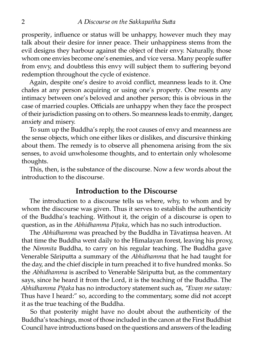prosperity, influence or status will be unhappy, however much they may talk about their desire for inner peace. Their unhappiness stems from the evil designs they harbour against the object of their envy. Naturally, those whom one envies become one's enemies, and vice versa. Many people suffer from envy, and doubtless this envy will subject them to suffering beyond redemption throughout the cycle of existence.

Again, despite one's desire to avoid conflict, meanness leads to it. One chafes at any person acquiring or using one's property. One resents any intimacy between one's beloved and another person; this is obvious in the case of married couples. Officials are unhappy when they face the prospect of their jurisdiction passing on to others. So meanness leads to enmity, danger, anxiety and misery.

To sum up the Buddha's reply, the root causes of envy and meanness are the sense objects, which one either likes or dislikes, and discursive thinking about them. The remedy is to observe all phenomena arising from the six senses, to avoid unwholesome thoughts, and to entertain only wholesome thoughts.

This, then, is the substance of the discourse. Now a few words about the introduction to the discourse.

#### **Introduction to the Discourse**

The introduction to a discourse tells us where, why, to whom and by whom the discourse was given. Thus it serves to establish the authenticity of the Buddha's teaching. Without it, the origin of a discourse is open to question, as in the *Abhidhamma Pitaka*, which has no such introduction.

The *Abhidhamma* was preached by the Buddha in Tāvatiṃsa heaven. At that time the Buddha went daily to the Himalayan forest, leaving his proxy, the *Nimmita* Buddha, to carry on his regular teaching. The Buddha gave Venerable Sāriputta a summary of the *Abhidhamma* that he had taught for the day, and the chief disciple in turn preached it to five hundred monks. So the *Abhidhamma* is ascribed to Venerable Sāriputta but, as the commentary says, since he heard it from the Lord, it is the teaching of the Buddha. The *Abhidhamma Pitaka* has no introductory statement such as, "Evam me sutam: Thus have I heard:" so, according to the commentary, some did not accept it as the true teaching of the Buddha.

So that posterity might have no doubt about the authenticity of the Buddha's teachings, most of those included in the canon at the First Buddhist Council have introductions based on the questions and answers of the leading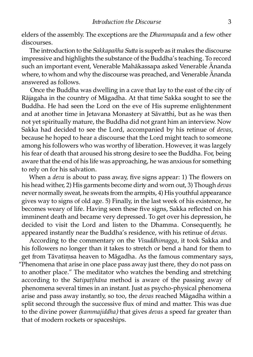elders of the assembly. The exceptions are the *Dhammapada* and a few other discourses.

The introduction to the *Sakkapañha Sutta* is superb as it makes the discourse impressive and highlights the substance of the Buddha's teaching. To record such an important event, Venerable Mahākassapa asked Venerable Ānanda where, to whom and why the discourse was preached, and Venerable Ānanda answered as follows.

Once the Buddha was dwelling in a cave that lay to the east of the city of Rājagaha in the country of Māgadha. At that time Sakka sought to see the Buddha. He had seen the Lord on the eve of His supreme enlightenment and at another time in Jetavana Monastery at Sāvatthi, but as he was then not yet spiritually mature, the Buddha did not grant him an interview. Now Sakka had decided to see the Lord, accompanied by his retinue of *devas*, because he hoped to hear a discourse that the Lord might teach to someone among his followers who was worthy of liberation. However, it was largely his fear of death that aroused his strong desire to see the Buddha. For, being aware that the end of his life was approaching, he was anxious for something to rely on for his salvation.

When a *deva* is about to pass away, five signs appear: 1) The flowers on his head wither, 2) His garments become dirty and worn out, 3) Though *devas* never normally sweat, he sweats from the armpits, 4) His youthful appearance gives way to signs of old age. 5) Finally, in the last week of his existence, he becomes weary of life. Having seen these five signs, Sakka reflected on his imminent death and became very depressed. To get over his depression, he decided to visit the Lord and listen to the Dhamma. Consequently, he appeared instantly near the Buddha's residence, with his retinue of *devas*.

According to the commentary on the *Visuddhimagga,* it took Sakka and his followers no longer than it takes to stretch or bend a hand for them to get from Tāvatimsa heaven to Māgadha. As the famous commentary says, "Phenomena that arise in one place pass away just there, they do not pass on to another place." The meditator who watches the bending and stretching according to the *Satipaṭṭhāna* method is aware of the passing away of phenomena several times in an instant. Just as psycho-physical phenomena arise and pass away instantly, so too, the *devas* reached Māgadha within a split second through the successive flux of mind and matter. This was due to the divine power *(kammajiddha)* that gives *devas* a speed far greater than that of modern rockets or spaceships.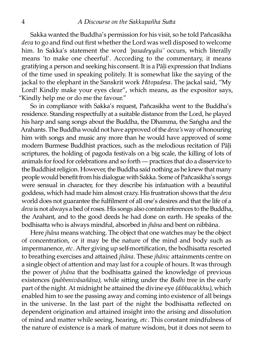Sakka wanted the Buddha's permission for his visit, so he told Pañcasikha *deva* to go and find out first whether the Lord was well disposed to welcome him. In Sakka's statement the word *'pasadeyyāsi'* occurs, which literally means 'to make one cheerful'. According to the commentary, it means gratifying a person and seeking his consent. It is a Pāli expression that Indians of the time used in speaking politely. It is somewhat like the saying of the jackal to the elephant in the Sanskrit work *Hitopadesa.* The jackal said, "My Lord! Kindly make your eyes clear", which means, as the expositor says, "Kindly help me or do me the favour."

So in compliance with Sakka's request, Pañcasikha went to the Buddha's residence. Standing respectfully at a suitable distance from the Lord, he played his harp and sang songs about the Buddha, the Dhamma, the Saṅgha and the Arahants. The Buddha would not have approved of the *deva's* way of honouring him with songs and music any more than he would have approved of some modern Burmese Buddhist practices, such as the melodious recitation of Pāḷi scriptures, the holding of pagoda festivals on a big scale, the killing of lots of animals for food for celebrations and so forth — practices that do a disservice to the Buddhist religion. However, the Buddha said nothing as he knew that many people would benefit from his dialogue with Sakka. Some of Pañcasikha's songs were sensual in character, for they describe his infatuation with a beautiful goddess, which had made him almost crazy. His frustration shows that the *deva* world does not guarantee the fulfilment of all one's desires and that the life of a *deva* is not always a bed of roses. His songs also contain references to the Buddha, the Arahant, and to the good deeds he had done on earth. He speaks of the bodhisatta who is always mindful, absorbed in *jhāna* and bent on nibbāna.

Here *jhāna* means watching. The object that one watches may be the object of concentration, or it may be the nature of the mind and body such as impermanence, etc. After giving up self-mortification, the bodhisatta resorted to breathing exercises and attained *jhāna*. These *jhānic* attainments centre on a single object of attention and may last for a couple of hours. It was through the power of *jhāna* that the bodhisatta gained the knowledge of previous existences (pubbenivāsañāna), while sitting under the *Bodhi* tree in the early part of the night. At midnight he attained the divine eye *(dibbacakkhu)*, which enabled him to see the passing away and coming into existence of all beings in the universe. In the last part of the night the bodhisatta reflected on dependent origination and attained insight into the arising and dissolution of mind and matter while seeing, hearing, *etc*. This constant mindfulness of the nature of existence is a mark of mature wisdom, but it does not seem to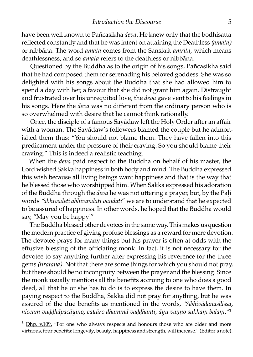have been well known to Pañcasikha *deva*. He knew only that the bodhisatta reflected constantly and that he was intent on attaining the Deathless *(amata)* or nibbāna. The word *amata* comes from the Sanskrit *amrita*, which means deathlessness, and so *amata* refers to the deathless or nibbāna.

Questioned by the Buddha as to the origin of his songs, Pañcasikha said that he had composed them for serenading his beloved goddess. She was so delighted with his songs about the Buddha that she had allowed him to spend a day with her, a favour that she did not grant him again. Distraught and frustrated over his unrequited love, the *deva* gave vent to his feelings in his songs. Here the *deva* was no different from the ordinary person who is so overwhelmed with desire that he cannot think rationally.

Once, the disciple of a famous Sayādaw left the Holy Order after an affair with a woman. The Sayādaw's followers blamed the couple but he admonished them thus: "You should not blame them. They have fallen into this predicament under the pressure of their craving. So you should blame their craving." This is indeed a realistic teaching.

When the *deva* paid respect to the Buddha on behalf of his master, the Lord wished Sakka happiness in both body and mind. The Buddha expressed this wish because all living beings want happiness and that is the way that he blessed those who worshipped him. When Sakka expressed his adoration of the Buddha through the *deva* he was not uttering a prayer, but, by the Pāli words *"abhivadeti abhivandati vandati*" we are to understand that he expected to be assured of happiness. In other words, he hoped that the Buddha would say, "May you be happy!"

The Buddha blessed other devotees in the same way. This makes us question the modern practice of giving profuse blessings as a reward for mere devotion. The devotee prays for many things but his prayer is often at odds with the effusive blessing of the officiating monk. In fact, it is not necessary for the devotee to say anything further after expressing his reverence for the three gems *(tiratana).* Not that there are some things for which you should not pray, but there should be no incongruity between the prayer and the blessing. Since the monk usually mentions all the benefits accruing to one who does a good deed, all that he or she has to do is to express the desire to have them. In paying respect to the Buddha, Sakka did not pray for anything, but he was assured of the due benefits as mentioned in the words, *"Abhivādanasīlissa, niccaṃ vuḍḍhāpacāyino, caāro dhammā vaḍḍhanti, āyu vaṇṇo sukhaṃ balaṃ."*¹

[Dhp. v.109.](http://www.aimwell.org/Books/Suttas/Dhammapada/08-Sahassa/08-sahassa.html#109) "For one who always respects and honours those who are older and more virtuous, four benefits: longevity, beauty, happiness and strength, will increase." (Editor's note).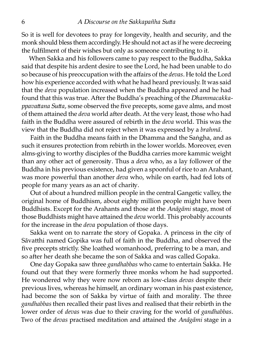So it is well for devotees to pray for longevity, health and security, and the monk should bless them accordingly. He should not act as if he were decreeing the fulfilment of their wishes but only as someone contributing to it.

When Sakka and his followers came to pay respect to the Buddha, Sakka said that despite his ardent desire to see the Lord, he had been unable to do so because of his preoccupation with the affairs of the *devas.* He told the Lord how his experience accorded with what he had heard previously. It was said that the *deva* population increased when the Buddha appeared and he had found that this was true. After the Buddha's preaching of the *Dhammacakkappavattana Sutta,* some observed the five precepts, some gave alms, and most of them attained the *deva* world after death. At the very least, those who had faith in the Buddha were assured of rebirth in the *deva* world. This was the view that the Buddha did not reject when it was expressed by a *brahmā*.

Faith in the Buddha means faith in the Dhamma and the Saṅgha, and as such it ensures protection from rebirth in the lower worlds. Moreover, even alms-giving to worthy disciples of the Buddha carries more kammic weight than any other act of generosity. Thus a *deva* who, as a lay follower of the Buddha in his previous existence, had given a spoonful of rice to an Arahant, was more powerful than another *deva* who, while on earth, had fed lots of people for many years as an act of charity.

Out of about a hundred million people in the central Gangetic valley, the original home of Buddhism, about eighty million people might have been Buddhists. Except for the Arahants and those at the *Anāgāmi* stage, most of those Buddhists might have attained the *deva* world. This probably accounts for the increase in the *deva* population of those days.

Sakka went on to narrate the story of Gopaka. A princess in the city of Sāvatthi named Gopika was full of faith in the Buddha, and observed the five precepts strictly. She loathed womanhood, preferring to be a man, and so after her death she became the son of Sakka and was called Gopaka.

One day Gopaka saw three *gandhabbas* who came to entertain Sakka. He found out that they were formerly three monks whom he had supported. He wondered why they were now reborn as low-class *devas* despite their previous lives, whereas he himself, an ordinary woman in his past existence, had become the son of Sakka by virtue of faith and morality. The three *gandhabbas* then recalled their past lives and realised that their rebirth in the lower order of *devas* was due to their craving for the world of *gandhabbas.* Two of the *devas* practised meditation and attained the *Anāgāmi* stage in a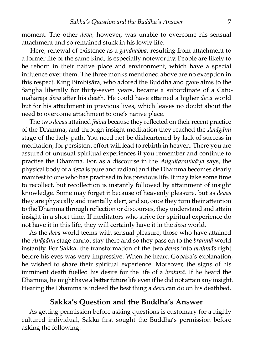moment. The other *deva,* however, was unable to overcome his sensual attachment and so remained stuck in his lowly life.

Here, renewal of existence as a *gandhabba*, resulting from attachment to a former life of the same kind, is especially noteworthy. People are likely to be reborn in their native place and environment, which have a special influence over them. The three monks mentioned above are no exception in this respect. King Bimbisāra, who adored the Buddha and gave alms to the Saṅgha liberally for thirty-seven years, became a subordinate of a Catumahārāja *deva* after his death. He could have attained a higher *deva* world but for his attachment in previous lives, which leaves no doubt about the need to overcome attachment to one's native place.

The two *devas* attained *jhāna* because they reflected on their recent practice of the Dhamma, and through insight meditation they reached the *Anāgāmi* stage of the holy path. You need not be disheartened by lack of success in meditation, for persistent effort will lead to rebirth in heaven. There you are assured of unusual spiritual experiences if you remember and continue to practise the Dhamma. For, as a discourse in the *Anguttaranikāya* says, the physical body of a *deva* is pure and radiant and the Dhamma becomes clearly manifest to one who has practised in his previous life. It may take some time to recollect, but recollection is instantly followed by attainment of insight knowledge. Some may forget it because of heavenly pleasure, but as *devas* they are physically and mentally alert, and so, once they turn their attention to the Dhamma through reflection or discourses, they understand and attain insight in a short time. If meditators who strive for spiritual experience do not have it in this life, they will certainly have it in the *deva* world.

As the *deva* world teems with sensual pleasure, those who have attained the *Anāgāmi* stage cannot stay there and so they pass on to the *brahmā* world instantly. For Sakka, the transformation of the two *devas* into *brahmās* right before his eyes was very impressive. When he heard Gopaka's explanation, he wished to share their spiritual experience. Moreover, the signs of his imminent death fuelled his desire for the life of a *brahmā*. If he heard the Dhamma, he might have a better future life even if he did not attain any insight. Hearing the Dhamma is indeed the best thing a *deva* can do on his deathbed.

#### **Sakka's Question and the Buddha's Answer**

As getting permission before asking questions is customary for a highly cultured individual, Sakka first sought the Buddha's permission before asking the following: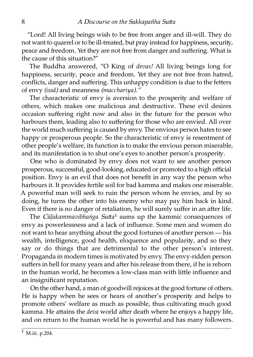"Lord! All living beings wish to be free from anger and ill-will. They do not want to quarrel or to be ill-treated, but pray instead for happiness, security, peace and freedom. Yet they are not free from danger and suffering. What is the cause of this situation?"

The Buddha answered, "O King of *devas!* All living beings long for happiness, security, peace and freedom. Yet they are not free from hatred, conflicts, danger and suffering. This unhappy condition is due to the fetters of envy *(issā)* and meanness *(macchariya)."*

The characteristic of envy is aversion to the prosperity and welfare of others, which makes one malicious and destructive. These evil desires occasion suffering right now and also in the future for the person who harbours them, leading also to suffering for those who are envied. All over the world much suffering is caused by envy. The envious person hates to see happy or prosperous people. So the characteristic of envy is resentment of other people's welfare, its function is to make the envious person miserable, and its manifestation is to shut one's eyes to another person's prosperity.

One who is dominated by envy does not want to see another person prosperous, successful, good-looking, educated or promoted to a high official position. Envy is an evil that does not benefit in any way the person who harbours it. It provides fertile soil for bad kamma and makes one miserable. A powerful man will seek to ruin the person whom he envies, and by so doing, he turns the other into his enemy who may pay him back in kind. Even if there is no danger of retaliation, he will surely suffer in an after life.

The *Cūlakammavibhaṅga Sutta*<sup>1</sup> sums up the kammic consequences of envy as powerlessness and a lack of influence. Some men and women do not want to hear anything about the good fortunes of another person — his wealth, intelligence, good health, eloquence and popularity, and so they say or do things that are detrimental to the other person's interest. Propaganda in modern times is motivated by envy. The envy-ridden person suffers in hell for many years and after his release from there, if he is reborn in the human world, he becomes a low-class man with little influence and an insignificant reputation.

On the other hand, a man of goodwill rejoices at the good fortune of others. He is happy when he sees or hears of another's prosperity and helps to promote others' welfare as much as possible, thus cultivating much good kamma. He attains the *deva* world after death where he enjoys a happy life, and on return to the human world he is powerful and has many followers.

 $1$  M.iii. p.204.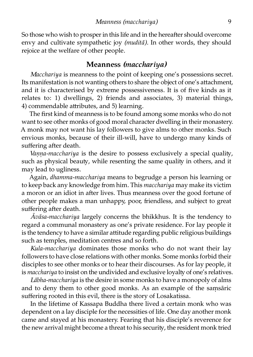So those who wish to prosper in this life and in the hereafter should overcome envy and cultivate sympathetic joy *(muditā).* In other words, they should rejoice at the welfare of other people.

#### **Meanness** *(macchariya)*

*Macchariya* is meanness to the point of keeping one's possessions secret. Its manifestation is not wanting others to share the object of one's attachment, and it is characterised by extreme possessiveness. It is of five kinds as it relates to: 1) dwellings, 2) friends and associates, 3) material things, 4) commendable attributes, and 5) learning.

The first kind of meanness is to be found among some monks who do not want to see other monks of good moral character dwelling in their monastery. A monk may not want his lay followers to give alms to other monks. Such envious monks, because of their ill-will, have to undergo many kinds of suffering after death.

*Vanna-macchariya* is the desire to possess exclusively a special quality, such as physical beauty, while resenting the same quality in others, and it may lead to ugliness.

Again, *dhamma-macchariya* means to begrudge a person his learning or to keep back any knowledge from him. This *macchariya* may make its victim a moron or an idiot in after lives. Thus meanness over the good fortune of other people makes a man unhappy, poor, friendless, and subject to great suffering after death.

*Āvāsa-macchariya* largely concerns the bhikkhus. It is the tendency to regard a communal monastery as one's private residence. For lay people it is the tendency to have a similar attitude regarding public religious buildings such as temples, meditation centres and so forth.

*Kula-macchariya* dominates those monks who do not want their lay followers to have close relations with other monks. Some monks forbid their disciples to see other monks or to hear their discourses. As for lay people, it is *macchariya* to insist on the undivided and exclusive loyalty of one's relatives.

*Lābha-macchariya* is the desire in some monks to have a monopoly of alms and to deny them to other good monks. As an example of the samsaric suffering rooted in this evil, there is the story of Losakatissa.

In the lifetime of Kassapa Buddha there lived a certain monk who was dependent on a lay disciple for the necessities of life. One day another monk came and stayed at his monastery. Fearing that his disciple's reverence for the new arrival might become a threat to his security, the resident monk tried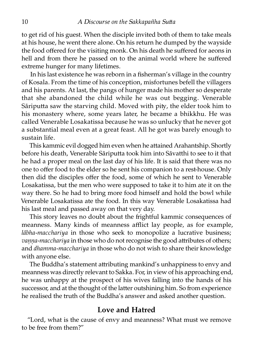to get rid of his guest. When the disciple invited both of them to take meals at his house, he went there alone. On his return he dumped by the wayside the food offered for the visiting monk. On his death he suffered for aeons in hell and from there he passed on to the animal world where he suffered extreme hunger for many lifetimes.

In his last existence he was reborn in a fisherman's village in the country of Kosala. From the time of his conception, misfortunes befell the villagers and his parents. At last, the pangs of hunger made his mother so desperate that she abandoned the child while he was out begging. Venerable Sāriputta saw the starving child. Moved with pity, the elder took him to his monastery where, some years later, he became a bhikkhu. He was called Venerable Losakatissa because he was so unlucky that he never got a substantial meal even at a great feast. All he got was barely enough to sustain life.

This kammic evil dogged him even when he attained Arahantship. Shortly before his death, Venerable Sāriputta took him into Sāvatthi to see to it that he had a proper meal on the last day of his life. It is said that there was no one to offer food to the elder so he sent his companion to a rest-house. Only then did the disciples offer the food, some of which he sent to Venerable Losakatissa, but the men who were supposed to take it to him ate it on the way there. So he had to bring more food himself and hold the bowl while Venerable Losakatissa ate the food. In this way Venerable Losakatissa had his last meal and passed away on that very day.

This story leaves no doubt about the frightful kammic consequences of meanness. Many kinds of meanness afflict lay people, as for example, *lābha-macchariya* in those who seek to monopolize a lucrative business; *vanna-macchariya* in those who do not recognise the good attributes of others; and *dhamma-macchariya* in those who do not wish to share their knowledge with anyone else.

The Buddha's statement attributing mankind's unhappiness to envy and meanness was directly relevant to Sakka. For, in view of his approaching end, he was unhappy at the prospect of his wives falling into the hands of his successor, and at the thought of the latter outshining him. So from experience he realised the truth of the Buddha's answer and asked another question.

#### **Love and Hatred**

"Lord, what is the cause of envy and meanness? What must we remove to be free from them?"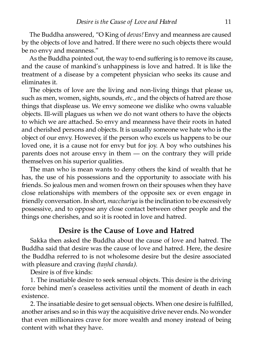The Buddha answered, "O King of *devas!* Envy and meanness are caused by the objects of love and hatred. If there were no such objects there would be no envy and meanness."

As the Buddha pointed out, the way to end suffering is to remove its cause, and the cause of mankind's unhappiness is love and hatred. It is like the eatment of a disease by a competent physician who seeks its cause and eliminates it.

The objects of love are the living and non-living things that please us, such as men, women, sights, sounds, *etc.*, and the objects of hatred are those things that displease us. We envy someone we dislike who owns valuable objects. Ill-will plagues us when we do not want others to have the objects to which we are attached. So envy and meanness have their roots in hated and cherished persons and objects. It is usually someone we hate who is the object of our envy. However, if the person who excels us happens to be our loved one, it is a cause not for envy but for joy. A boy who outshines his parents does not arouse envy in them  $-$  on the contrary they will pride themselves on his superior qualities.

The man who is mean wants to deny others the kind of wealth that he has, the use of his possessions and the opportunity to associate with his friends. So jealous men and women frown on their spouses when they have close relationships with members of the opposite sex or even engage in friendly conversation. In short, *macchariya* is the inclination to be excessively possessive, and to oppose any close contact between other people and the things one cherishes, and so it is rooted in love and hatred.

#### **Desire is the Cause of Love and Hatred**

Sakka then asked the Buddha about the cause of love and hatred. The Buddha said that desire was the cause of love and hatred. Here, the desire the Buddha referred to is not wholesome desire but the desire associated with pleasure and craving *(tanhā chanda)*.

Desire is of five kinds:

1. The insatiable desire to seek sensual objects. This desire is the driving force behind men's ceaseless activities until the moment of death in each existence.

2. The insatiable desire to get sensual objects. When one desire is fulfilled, another arises and so in this way the acquisitive drive never ends. No wonder that even millionaires crave for more wealth and money instead of being content with what they have.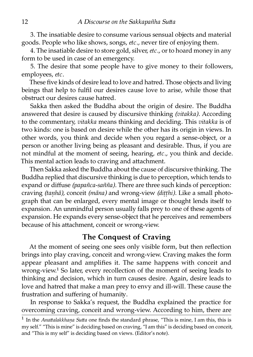3. The insatiable desire to consume various sensual objects and material goods. People who like shows, songs, *etc.,* never tire of enjoying them.

4. The insatiable desire to store gold, silver,*etc.,* or to hoard money in any form to be used in case of an emergency.

5. The desire that some people have to give money to their followers, employees, *etc.*

These five kinds of desire lead to love and hatred. Those objects and living beings that help to fulfil our desires cause love to arise, while those that obstruct our desires cause hatred.

Sakka then asked the Buddha about the origin of desire. The Buddha answered that desire is caused by discursive thinking *(vitakka).* According to the commentary, *vitakka* means thinking and deciding. This *vitakka* is of two kinds: one is based on desire while the other has its origin in views. In other words, you think and decide when you regard a sense-object, or a person or another living being as pleasant and desirable. Thus, if you are not mindful at the moment of seeing, hearing, *etc.,* you think and decide. This mental action leads to craving and attachment.

Then Sakka asked the Buddha about the cause of discursive thinking. The Buddha replied that discursive thinking is due to perception, which tends to expand or diffuse *(papañca-sañña).* There are three such kinds of perception: craving *(taṇhā),* conceit *(māna)* and wrong-view *(diṭṭhi).* Like a small photograph that can be enlarged, every mental image or thought lends itself to expansion. An unmindful person usually falls prey to one of these agents of expansion. He expands every sense-object that he perceives and remembers because of his attachment, conceit or wrong-view.

#### **The Conquest of Craving**

At the moment of seeing one sees only visible form, but then reflection brings into play craving, conceit and wrong-view. Craving makes the form appear pleasant and amplifies it. The same happens with conceit and wrong-view.<sup>1</sup> So later, every recollection of the moment of seeing leads to thinking and decision, which in turn causes desire. Again, desire leads to love and hatred that make a man prey to envy and ill-will. These cause the frustration and suffering of humanity.

In response to Sakka's request, the Buddha explained the practice for overcoming craving, conceit and wrong-view. According to him, there are

In the *Anattalakkhaṇa Sutta* one finds the standard phrase, "This is mine, I am this, this is my self." "This is mine" is deciding based on craving, "I am this" is deciding based on conceit, and "This is my self" is deciding based on views. (Editor's note).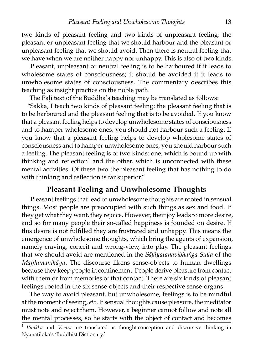two kinds of pleasant feeling and two kinds of unpleasant feeling: the pleasant or unpleasant feeling that we should harbour and the pleasant or unpleasant feeling that we should avoid. Then there is neutral feeling that we have when we are neither happy nor unhappy. This is also of two kinds.

Pleasant, unpleasant or neutral feeling is to be harboured if it leads to wholesome states of consciousness; it should be avoided if it leads to unwholesome states of consciousness. The commentary describes this teaching as insight practice on the noble path.

The Pāli text of the Buddha's teaching may be translated as follows:

"Sakka, I teach two kinds of pleasant feeling: the pleasant feeling that is to be harboured and the pleasant feeling that is to be avoided. If you know that a pleasant feeling helps to develop unwholesome states of consciousness and to hamper wholesome ones, you should not harbour such a feeling. If you know that a pleasant feeling helps to develop wholesome states of consciousness and to hamper unwholesome ones, you should harbour such a feeling. The pleasant feeling is of two kinds: one, which is bound up with thinking and reflection<sup>1</sup> and the other, which is unconnected with these mental activities. Of these two the pleasant feeling that has nothing to do with thinking and reflection is far superior."

#### **Pleasant Feeling and Unwholesome Thoughts**

Pleasant feelings that lead to unwholesome thoughts are rooted in sensual things. Most people are preoccupied with such things as sex and food. If they get what they want, they rejoice. However, their joy leads to more desire, and so for many people their so-called happiness is founded on desire. If this desire is not fulfilled they are frustrated and unhappy. This means the emergence of unwholesome thoughts, which bring the agents of expansion, namely craving, conceit and wrong-view, into play. The pleasant feelings that we should avoid are mentioned in the *Sāḷāyatanavibhaṅga Sua* of the *Majjhimanikāya.* The discourse likens sense-objects to human dwellings because they keep people in confinement. People derive pleasure from contact with them or from memories of that contact. There are six kinds of pleasant feelings rooted in the six sense-objects and their respective sense-organs.

The way to avoid pleasant, but unwholesome, feelings is to be mindful at the moment of seeing,*etc.* If sensual thoughts cause pleasure, the meditator must note and reject them. However, a beginner cannot follow and note all the mental processes, so he starts with the object of contact and becomes

<sup>&</sup>lt;sup>1</sup> Vitakka and Vicāra are translated as thought-conception and discursive thinking in Nyanatiloka's 'Buddhist Dictionary.'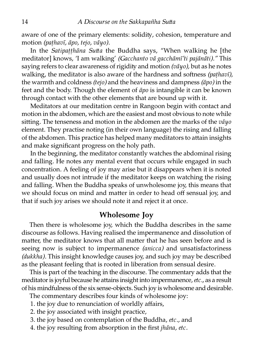aware of one of the primary elements: solidity, cohesion, temperature and motion *(paṭhavī, āpo, tejo, vāyo).*

In the *Satipatthāna Sutta* the Buddha says, "When walking he [the meditator] knows, 'I am walking' *(Gacchanto vā gacchāmī'ti pajānāti)."* This saying refers to clear awareness of rigidity and motion *(vāyo)*, but as he notes walking, the meditator is also aware of the hardness and softness *(pathavī)*, the warmth and coldness *(tejo)* and the heaviness and dampness *(āpo)* in the feet and the body. Though the element of *āpo* is intangible it can be known through contact with the other elements that are bound up with it.

Meditators at our meditation centre in Rangoon begin with contact and motion in the abdomen, which are the easiest and most obvious to note while siing. The tenseness and motion in the abdomen are the marks of the *vāyo* element. They practise noting (in their own language) the rising and falling of the abdomen. This practice has helped many meditators to attain insights and make significant progress on the holy path.

In the beginning, the meditator constantly watches the abdominal rising and falling. He notes any mental event that occurs while engaged in such concentration. A feeling of joy may arise but it disappears when it is noted and usually does not intrude if the meditator keeps on watching the rising and falling. When the Buddha speaks of unwholesome joy, this means that we should focus on mind and matter in order to head off sensual joy, and that if such joy arises we should note it and reject it at once.

#### **Wholesome Joy**

Then there is wholesome joy, which the Buddha describes in the same discourse as follows. Having realised the impermanence and dissolution of matter, the meditator knows that all matter that he has seen before and is seeing now is subject to impermanence *(anicca)* and unsatisfactoriness *(dukkha).* This insight knowledge causes joy, and such joy may be described as the pleasant feeling that is rooted in liberation from sensual desire.

This is part of the teaching in the discourse. The commentary adds that the meditator is joyful because he attains insight into impermanence, etc., as a result of his mindfulness of the six sense-objects. Such joy is wholesome and desirable.

The commentary describes four kinds of wholesome joy:

- 1. the joy due to renunciation of worldly affairs,
- 2. the joy associated with insight practice,
- 3. the joy based on contemplation of the Buddha, *etc.,* and
- 4. the joy resulting from absorption in the first *jhāna*, etc.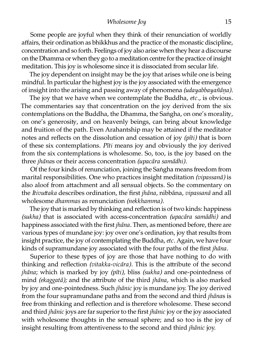#### *Wholesome Joy* 15

Some people are joyful when they think of their renunciation of worldly affairs, their ordination as bhikkhus and the practice of the monastic discipline, concentration and so forth. Feelings of joy also arise when they hear a discourse on the Dhamma or when they go to a meditation centre for the practice of insight meditation. This joy is wholesome since it is dissociated from secular life.

The joy dependent on insight may be the joy that arises while one is being mindful. In particular the highest joy is the joy associated with the emergence of insight into the arising and passing away of phenomena *(udayabbayañāṇa).*

The joy that we have when we contemplate the Buddha, *etc.,* is obvious. The commentaries say that concentration on the joy derived from the six contemplations on the Buddha, the Dhamma, the Saṅgha, on one's morality, on one's generosity, and on heavenly beings, can bring about knowledge and fruition of the path. Even Arahantship may be attained if the meditator notes and reflects on the dissolution and cessation of joy *(pīti)* that is born of these six contemplations. *Pīti* means joy and obviously the joy derived from the six contemplations is wholesome. So, too, is the joy based on the three *jhānas* or their access concentration *(upacāra samādhi)*.

Of the four kinds of renunciation, joining the Saṅgha means freedom from marital responsibilities. One who practices insight meditation *(vipassanā)* is also aloof from attachment and all sensual objects. So the commentary on the *Itivuaka* describes ordination, the first *jhāna,* nibbāna, *vipassanā* and all wholesome *dhammas* as renunciation *(nekkhamma).*

The joy that is marked by thinking and reflection is of two kinds: happiness *(sukha)* that is associated with access-concenation *(upacāra samādhi)* and happiness associated with the first *jhāna.* Then, as mentioned before, there are various types of mundane joy: joy over one's ordination, joy that results from insight practice, the joy of contemplating the Buddha,*etc.* Again, we have four kinds of supramundane joy associated with the four paths of the first *jhāna.*

Superior to these types of joy are those that have nothing to do with thinking and reflection *(vitakka-vicāra)*. This is the attribute of the second *jhāna*; which is marked by joy *(pīti),* bliss *(sukha)* and one-pointedness of mind *(ekaggatā);* and the attribute of the third *jhāna*, which is also marked by joy and one-pointedness. Such *jhānic* joy is mundane joy. The joy derived from the four supramundane paths and from the second and third *jhānas* is free from thinking and reflection and is therefore wholesome. These second and third *jhānic* joys are far superior to the first *jhānic* joy or the joy associated with wholesome thoughts in the sensual sphere; and so too is the joy of insight resulting from attentiveness to the second and third *jhānic* joy.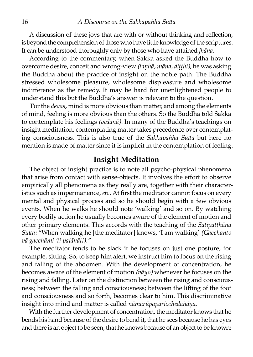A discussion of these joys that are with or without thinking and reflection, is beyond the comprehension of those who have little knowledge of the scriptures. It can be understood thoroughly only by those who have attained *jhāna*.

According to the commentary, when Sakka asked the Buddha how to overcome desire, conceit and wrong-view *(taṇhā, māna, diṭṭhi)*, he was asking the Buddha about the practice of insight on the noble path. The Buddha stressed wholesome pleasure, wholesome displeasure and wholesome indifference as the remedy. It may be hard for unenlightened people to understand this but the Buddha's answer is relevant to the question.

For the *devas*, mind is more obvious than matter, and among the elements of mind, feeling is more obvious than the others. So the Buddha told Sakka to contemplate his feelings *(vedanā).* In many of the Buddha's teachings on insight meditation, contemplating matter takes precedence over contemplating consciousness. This is also true of the *Sakkapañha Sutta* but here no mention is made of matter since it is implicit in the contemplation of feeling.

#### **Insight Meditation**

The object of insight practice is to note all psycho-physical phenomena that arise from contact with sense-objects. It involves the effort to observe empirically all phenomena as they really are, together with their characteristics such as impermanence,*etc.* At first the meditator cannot focus on every mental and physical process and so he should begin with a few obvious events. When he walks he should note 'walking' and so on. By watching every bodily action he usually becomes aware of the element of motion and other primary elements. This accords with the teaching of the *Satipaṭṭhāna Sutta:* "When walking he [the meditator] knows, 'I am walking' *(Gacchanto*) *vā gacchāmi 'ti pajānāti)."*

The meditator tends to be slack if he focuses on just one posture, for example, sitting. So, to keep him alert, we instruct him to focus on the rising and falling of the abdomen. With the development of concentration, he becomes aware of the element of motion *(vāyo)* whenever he focuses on the rising and falling. Later on the distinction between the rising and consciousness; between the falling and consciousness; between the lifting of the foot and consciousness and so forth, becomes clear to him. This discriminative insight into mind and matter is called *nāmarūpaparicchedañāna*.

With the further development of concentration, the meditator knows that he bends his hand because of the desire to bend it, that he sees because he has eyes and there is an object to be seen, that he knows because of an object to be known;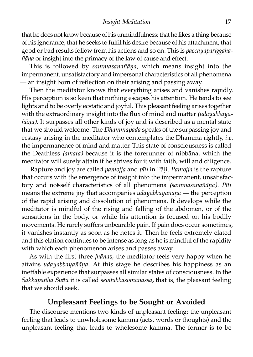that he does not know because of his unmindfulness; that he likes a thing because of his ignorance; that he seeks to fulfil his desire because of his attachment; that good or bad results follow from his actions and so on. This is *paccayapariggahañāṇa* or insight into the primacy of the law of cause and effect.

This is followed by *sammasanañāṇa,* which means insight into the impermanent, unsatisfactory and impersonal characteristics of all phenomena — an insight born of reflection on their arising and passing away.

Then the meditator knows that everything arises and vanishes rapidly. His perception is so keen that nothing escapes his attention. He tends to see lights and to be overly ecstatic and joyful. This pleasant feeling arises together with the extraordinary insight into the flux of mind and matter *(udayabbayañāṇa).* It surpasses all other kinds of joy and is described as a mental state that we should welcome. The *Dhammapada* speaks of the surpassing joy and ecstasy arising in the meditator who contemplates the Dhamma rightly, *i.e.* the impermanence of mind and matter. This state of consciousness is called the Deathless *(amata)* because it is the forerunner of nibbāna, which the meditator will surely attain if he strives for it with faith, will and diligence.

Rapture and joy are called *pamojja* and *pīti* in Pāḷi. *Pamojja* is the rapture that occurs with the emergence of insight into the impermanent, unsatisfactory and not-self characteristics of all phenomena *(sammasanañāṇa). Pīti* means the extreme joy that accompanies *udayabbayañāna* — the perception of the rapid arising and dissolution of phenomena. It develops while the meditator is mindful of the rising and falling of the abdomen, or of the sensations in the body, or while his attention is focused on his bodily movements. He rarely suffers unbearable pain. If pain does occur sometimes, it vanishes instantly as soon as he notes it. Then he feels extremely elated and this elation continues to be intense as long as he is mindful of the rapidi with which each phenomenon arises and passes away.

As with the first three *jhāna*s, the meditator feels very happy when he attains *udayabbayañāna*. At this stage he describes his happiness as an ineffable experience that surpasses all similar states of consciousness. In the *Sakkapañha Sutta* it is called *sevitabbasomanassa*, that is, the pleasant feeling that we should seek.

#### **Unpleasant Feelings to be Sought or Avoided**

The discourse mentions two kinds of unpleasant feeling: the unpleasant feeling that leads to unwholesome kamma (acts, words or thoughts) and the unpleasant feeling that leads to wholesome kamma. The former is to be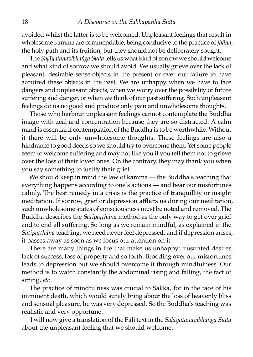avoided whilst the latter is to be welcomed. Unpleasant feelings that result in wholesome kamma are commendable, being conducive to the practice of *jhāna,* the holy path and its fruition, but they should not be deliberately sought.

The *Salāyatanavibhaṅga Sutta* tells us what kind of sorrow we should welcome and what kind of sorrow we should avoid. We usually grieve over the lack of pleasant, desirable sense-objects in the present or over our failure to have acquired these objects in the past. We are unhappy when we have to face dangers and unpleasant objects, when we worry over the possibility of future suffering and danger, or when we think of our past suffering. Such unpleasant feelings do us no good and produce only pain and unwholesome thoughts.

Those who harbour unpleasant feelings cannot contemplate the Buddha image with zeal and concentration because they are so distracted. A calm mind is essential if contemplation of the Buddha is to be worthwhile. Without it there will be only unwholesome thoughts. These feelings are also a hindrance to good deeds so we should try to overcome them. Yet some people seem to welcome suffering and may not like you if you tell them not to grieve over the loss of their loved ones. On the contrary, they may thank you when you say something to justify their grief.

We should keep in mind the law of kamma — the Buddha's teaching that everything happens according to one's actions — and bear our misfortunes calmly. The best remedy in a crisis is the practice of tranquillity or insight meditation. If sorrow, grief or depression afflicts us during our meditation, such unwholesome states of consciousness must be noted and removed. The Buddha describes the *Satipaṭṭhāna* method as the only way to get over grief and to end all suffering. So long as we remain mindful, as explained in the *Satipaṭṭhāna* teaching, we need never feel depressed, and if depression arises, it passes away as soon as we focus our attention on it.

There are many things in life that make us unhappy: frustrated desires, lack of success, loss of property and so forth. Brooding over our misfortunes leads to depression but we should overcome it through mindfulness. Our method is to watch constantly the abdominal rising and falling, the fact of sitting, etc.

The practice of mindfulness was crucial to Sakka, for in the face of his imminent death, which would surely bring about the loss of heavenly bliss and sensual pleasure, he was very depressed. So the Buddha's teaching was realistic and very opportune.

I will now give a translation of the Pāli text in the *Salāyatanavibhaṅga Sutta* about the unpleasant feeling that we should welcome.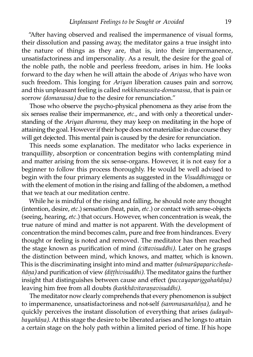"After having observed and realised the impermanence of visual forms, their dissolution and passing away, the meditator gains a true insight into the nature of things as they are, that is, into their impermanence, unsatisfactoriness and impersonality. As a result, the desire for the goal of the noble path, the noble and peerless freedom, arises in him. He looks forward to the day when he will attain the abode of *Ariyas* who have won such freedom. This longing for *Ariyan* liberation causes pain and sorrow, and this unpleasant feeling is called *nekkhamassita-domanassa,* that is pain or sorrow *(domanassa)* due to the desire for renunciation."

Those who observe the psycho-physical phenomena as they arise from the six senses realise their impermanence, *etc.,* and with only a theoretical understanding of the *Ariyan dhamma,* they may keep on meditating in the hope of attaining the goal. However if their hope does not materialise in due course they will get dejected. This mental pain is caused by the desire for renunciation.

This needs some explanation. The meditator who lacks experience in tranquillity, absorption or concentration begins with contemplating mind and matter arising from the six sense-organs. However, it is not easy for a beginner to follow this process thoroughly. He would be well advised to begin with the four primary elements as suggested in the *Visuddhimagga* or with the element of motion in the rising and falling of the abdomen, a method that we teach at our meditation centre.

While he is mindful of the rising and falling, he should note any thought (intention, desire,*etc.*) sensation (heat, pain,*etc.*) or contact with sense-objects (seeing, hearing, etc.) that occurs. However, when concentration is weak, the true nature of mind and matter is not apparent. With the development of concentration the mind becomes calm, pure and free from hindrances. Every thought or feeling is noted and removed. The meditator has then reached the stage known as purification of mind *(cittavisuddhi)*. Later on he grasps the distinction between mind, which knows, and matter, which is known. This is the discriminating insight into mind and matter *(nāmarūpaparicchedañāṇa)* and purification of view *(diṭṭhivisuddhi).* The meditator gains the further insight that distinguishes between cause and effect *(paccayapariggahañāṇa)* leaving him free from all doubts *(kaṅkhāvitaranavisuddhi)*.

The meditator now clearly comprehends that every phenomenon is subject to impermanence, unsatisfactoriness and not-self *(sammasanañāṇa),* and he quickly perceives the instant dissolution of everything that arises *(udayabbayañāna*). At this stage the desire to be liberated arises and he longs to attain a certain stage on the holy path within a limited period of time. If his hope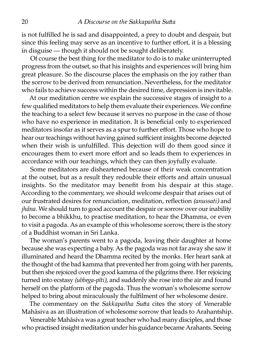is not fulfilled he is sad and disappointed, a prey to doubt and despair, but since this feeling may serve as an incentive to further effort, it is a blessing in disguise — though it should not be sought deliberately.

Of course the best thing for the meditator to do is to make uninterrupted progress from the outset, so that his insights and experiences will bring him great pleasure. So the discourse places the emphasis on the joy rather than the sorrow to be derived from renunciation. Nevertheless, for the meditator who fails to achieve success within the desired time, depression is inevitable.

At our meditation centre we explain the successive stages of insight to a few qualified meditators to help them evaluate their experiences. We confine the teaching to a select few because it serves no purpose in the case of those who have no experience in meditation. It is beneficial only to experienced meditators insofar as it serves as a spur to further effort. Those who hope to hear our teachings without having gained sufficient insights become dejected when their wish is unfulfilled. This dejection will do them good since it encourages them to exert more effort and so leads them to experiences in accordance with our teachings, which they can then joyfully evaluate.

Some meditators are disheartened because of their weak concentration at the outset, but as a result they redouble their efforts and attain unusual insights. So the meditator may benefit from his despair at this stage. According to the commentary, we should welcome despair that arises out of our frustrated desires for renunciation, meditation, reflection *(anussati)* and *jhāna*. We should turn to good account the despair or sorrow over our inability to become a bhikkhu, to practise meditation, to hear the Dhamma, or even to visit a pagoda. As an example of this wholesome sorrow, there is the story of a Buddhist woman in Sri Lanka.

The woman's parents went to a pagoda, leaving their daughter at home because she was expecting a baby. As the pagoda was not far away she saw it illuminated and heard the Dhamma recited by the monks. Her heart sank at the thought of the bad kamma that prevented her from going with her parents, but then she rejoiced over the good kamma of the pilgrims there. Her rejoicing turned into ecstasy *(ubbega-pīti)*, and suddenly she rose into the air and found herself on the platform of the pagoda. Thus the woman's wholesome sorrow helped to bring about miraculously the fulfilment of her wholesome desire.

The commentary on the *Sakkapañha Sutta* cites the story of Venerable Mahāsiva as an illustration of wholesome sorrow that leads to Arahantship.

Venerable Mahāsiva was a great teacher who had many disciples, and those who practised insight meditation under his guidance became Arahants. Seeing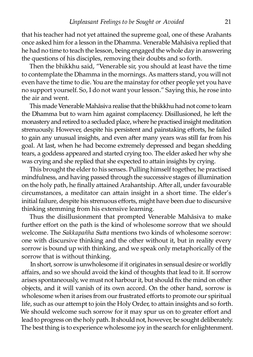that his teacher had not yet attained the supreme goal, one of these Arahants once asked him for a lesson in the Dhamma. Venerable Mahāsiva replied that he had no time to teach the lesson, being engaged the whole day in answering the questions of his disciples, removing their doubts and so forth.

Then the bhikkhu said, "Venerable sir, you should at least have the time to contemplate the Dhamma in the mornings. As matters stand, you will not even have the time to die. You are the mainstay for other people yet you have no support yourself. So, I do not want your lesson." Saying this, he rose into the air and went.

This made Venerable Mahāsiva realise that the bhikkhu had not come to learn the Dhamma but to warn him against complacency. Disillusioned, he left the monastery and retired to a secluded place, where he practised insight meditation strenuously. However, despite his persistent and painstaking efforts, he failed to gain any unusual insights, and even after many years was still far from his goal. At last, when he had become extremely depressed and began shedding tears, a goddess appeared and started crying too. The elder asked her why she was crying and she replied that she expected to attain insights by crying.

This brought the elder to his senses. Pulling himself together, he practised mindfulness, and having passed through the successive stages of illumination on the holy path, he finally attained Arahantship. After all, under favourable circumstances, a meditator can attain insight in a short time. The elder's initial failure, despite his strenuous efforts, might have been due to discursive thinking stemming from his extensive learning.

Thus the disillusionment that prompted Venerable Mahāsiva to make further effort on the path is the kind of wholesome sorrow that we should welcome. The *Sakkapañha Sutta* mentions two kinds of wholesome sorrow: one with discursive thinking and the other without it, but in reality every sorrow is bound up with thinking, and we speak only metaphorically of the sorrow that is without thinking.

In short, sorrow is unwholesome if it originates in sensual desire or worldly affairs, and so we should avoid the kind of thoughts that lead to it. If sorrow arises spontaneously, we must not harbour it, but should fix the mind on other objects, and it will vanish of its own accord. On the other hand, sorrow is wholesome when it arises from our frustrated efforts to promote our spiritual life, such as our attempt to join the Holy Order, to attain insights and so forth. We should welcome such sorrow for it may spur us on to greater effort and lead to progress on the holy path. It should not, however, be sought deliberately. The best thing is to experience wholesome joy in the search for enlightenment.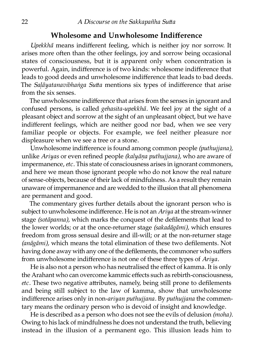#### **Wholesome and Unwholesome Indifference**

*Upekkhā* means indifferent feeling, which is neither joy nor sorrow. It arises more often than the other feelings, joy and sorrow being occasional states of consciousness, but it is apparent only when concentration is powerful. Again, indifference is of two kinds: wholesome indifference that leads to good deeds and unwholesome indifference that leads to bad deeds. The *Salāyatanavibhaṅga Sutta* mentions six types of indifference that arise from the six senses.

The unwholesome indifference that arises from the senses in ignorant and confused persons, is called *gehasita-upekkhā.* We feel joy at the sight of a pleasant object and sorrow at the sight of an unpleasant object, but we have indifferent feelings, which are neither good nor bad, when we see very familiar people or objects. For example, we feel neither pleasure nor displeasure when we see a tree or a stone.

Unwholesome indifference is found among common people *(puthujjana),* unlike *Ariyas* or even refined people *(kalyāṇa puthujjana),* who are aware of impermanence,*etc.* This state of consciousness arises in ignorant commoners, and here we mean those ignorant people who do not know the real nature of sense-objects, because of their lack of mindfulness. As a result they remain unaware of impermanence and are wedded to the illusion that all phenomena are permanent and good.

The commentary gives further details about the ignorant person who is subject to unwholesome indifference. He is not an *Ariya* at the stream-winner stage *(sotāpanna),* which marks the conquest of the defilements that lead to the lower worlds; or at the once-returner stage *(sakadāgāmi),* which ensures freedom from gross sensual desire and ill-will; or at the non-returner stage *(anāgāmi),* which means the total elimination of these two defilements. Not having done away with any one of the defilements, the commoner who suffers from unwholesome indifference is not one of these three types of *Ariya*.

He is also not a person who has neutralised the effect of kamma. It is only the Arahant who can overcome kammic effects such as rebirth-consciousness, *etc*. These two negative attributes, namely, being still prone to defilements and being still subject to the law of kamma, show that unwholesome indifference arises only in non-*ariyan puthujjana.* By *puthujjana* the commentary means the ordinary person who is devoid of insight and knowledge.

He is described as a person who does not see the evils of delusion *(moha).* Owing to his lack of mindfulness he does not understand the truth, believing instead in the illusion of a permanent ego. This illusion leads him to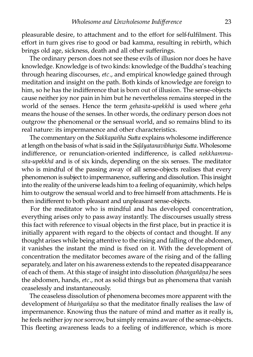pleasurable desire, to attachment and to the effort for self-fulfilment. This effort in turn gives rise to good or bad kamma, resulting in rebirth, which brings old age, sickness, death and all other sufferings.

The ordinary person does not see these evils of illusion nor does he have knowledge. Knowledge is of two kinds: knowledge of the Buddha's teaching through hearing discourses, *etc.,* and empirical knowledge gained through meditation and insight on the path. Both kinds of knowledge are foreign to him, so he has the indifference that is born out of illusion. The sense-objects cause neither joy nor pain in him but he nevertheless remains steeped in the world of the senses. Hence the term *gehasita-upekkhā* is used where *geha* means the house of the senses. In other words, the ordinary person does not outgrow the phenomenal or the sensual world, and so remains blind to its real nature: its impermanence and other characteristics.

The commentary on the *Sakkapañha Sutta* explains wholesome indifference at length on the basis of what is said in the *Saḷāyatanavibhaṅga Sua*. Wholesome indifference, or renunciation-oriented indifference, is called *nekkhammasita-upekkhā* and is of six kinds, depending on the six senses. The meditator who is mindful of the passing away of all sense-objects realises that every phenomenon is subject to impermanence, suffering and dissolution. This insight into the reality of the universe leads him to a feeling of equanimity, which helps him to outgrow the sensual world and to free himself from attachments. He is then indifferent to both pleasant and unpleasant sense-objects.

For the meditator who is mindful and has developed concentration, everything arises only to pass away instantly. The discourses usually stress this fact with reference to visual objects in the first place, but in practice it is initially apparent with regard to the objects of contact and thought. If any thought arises while being attentive to the rising and falling of the abdomen, it vanishes the instant the mind is fixed on it. With the development of concentration the meditator becomes aware of the rising and of the falling separately, and later on his awareness extends to the repeated disappearance of each of them. At this stage of insight into dissolution *(bhaṅgañāṇa)* he sees the abdomen, hands, *etc.,* not as solid things but as phenomena that vanish ceaselessly and instantaneously.

The ceaseless dissolution of phenomena becomes more apparent with the development of *bhaṅgañāṇa* so that the meditator finally realises the law of impermanence. Knowing thus the nature of mind and matter as it really is, he feels neither joy nor sorrow, but simply remains aware of the sense-objects. This fleeting awareness leads to a feeling of indifference, which is more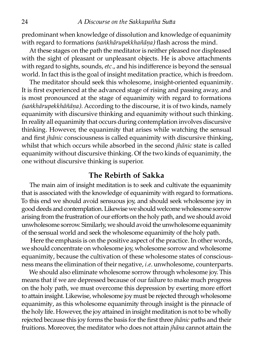predominant when knowledge of dissolution and knowledge of equanimi with regard to formations *(saṅkhārupekkhañāṇa)* flash across the mind.

At these stages on the path the meditator is neither pleased nor displeased with the sight of pleasant or unpleasant objects. He is above attachments with regard to sights, sounds,*etc.,* and his indifference is beyond the sensual world. In fact this is the goal of insight meditation practice, which is freedom.

The meditator should seek this wholesome, insight-oriented equanimity. It is first experienced at the advanced stage of rising and passing away, and is most pronounced at the stage of equanimity with regard to formations *(saṅkhārupekkhāñāṇa).* According to the discourse, it is of two kinds, namely equanimity with discursive thinking and equanimity without such thinking. In reality all equanimity that occurs during contemplation involves discursive thinking. However, the equanimity that arises while watching the sensual and first *jhānic* consciousness is called equanimity with discursive thinking, whilst that which occurs while absorbed in the second *jhānic* state is called equanimity without discursive thinking. Of the two kinds of equanimity, the one without discursive thinking is superior.

#### **The Rebirth of Sakka**

The main aim of insight meditation is to seek and cultivate the equanimity that is associated with the knowledge of equanimity with regard to formations. To this end we should avoid sensuous joy, and should seek wholesome joy in good deeds and contemplation. Likewise we should welcome wholesome sorrow arising from the frustration of our efforts on the holy path, and we should avoid unwholesome sorrow. Similarly, we should avoid the unwholesome equanimi of the sensual world and seek the wholesome equanimity of the holy path.

Here the emphasis is on the positive aspect of the practice. In other words, we should concentrate on wholesome joy, wholesome sorrow and wholesome equanimity, because the cultivation of these wholesome states of consciousness means the elimination of their negative, *i.e.* unwholesome, counterparts.

We should also eliminate wholesome sorrow through wholesome joy. This means that if we are depressed because of our failure to make much progress on the holy path, we must overcome this depression by exerting more effort to attain insight. Likewise, wholesome joy must be rejected through wholesome equanimity, as this wholesome equanimity through insight is the pinnacle of the holy life. However, the joy attained in insight meditation is not to be wholly rejected because this joy forms the basis for the first three *jhānic* paths and their fruitions. Moreover, the meditator who does not attain *jhāna* cannot attain the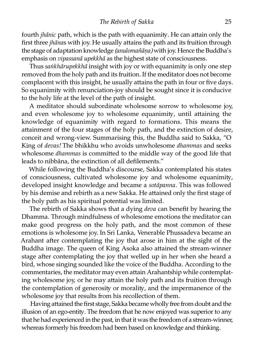fourth *jhānic* path, which is the path with equanimity. He can attain only the first three *jhānas* with joy. He usually attains the path and its fruition through the stage of adaptation knowledge *(anulomañāṇa)* with joy. Hence the Buddha's emphasis on *vipassanā upekkhā* as the highest state of consciousness.

Thus *saṅkhārupekkhā* insight with joy or with equanimity is only one step removed from the holy path and its fruition. If the meditator does not become complacent with this insight, he usually attains the path in four or five days. So equanimity with renunciation-joy should be sought since it is conducive to the holy life at the level of the path of insight.

A meditator should subordinate wholesome sorrow to wholesome joy, and even wholesome joy to wholesome equanimity, until attaining the knowledge of equanimity with regard to formations. This means the attainment of the four stages of the holy path, and the extinction of desire, conceit and wrong-view. Summarising this, the Buddha said to Sakka, "O King of *devas!* The bhikkhu who avoids unwholesome *dhammas* and seeks wholesome *dhammas* is committed to the middle way of the good life that leads to nibbāna, the extinction of all defilements."

While following the Buddha's discourse, Sakka contemplated his states of consciousness, cultivated wholesome joy and wholesome equanimity, developed insight knowledge and became a *sotāpanna.* This was followed by his demise and rebirth as a new Sakka. He attained only the first stage of the holy path as his spiritual potential was limited.

The rebirth of Sakka shows that a dying *deva* can benefit by hearing the Dhamma. Through mindfulness of wholesome emotions the meditator can make good progress on the holy path, and the most common of these emotions is wholesome joy. In Sri Lanka, Venerable Phussadeva became an Arahant after contemplating the joy that arose in him at the sight of the Buddha image. The queen of King Asoka also attained the stream-winner stage after contemplating the joy that welled up in her when she heard a bird, whose singing sounded like the voice of the Buddha. According to the commentaries, the meditator may even attain Arahantship while contemplating wholesome joy, or he may attain the holy path and its fruition through the contemplation of generosity or morality, and the impermanence of the wholesome joy that results from his recollection of them.

Having attained the first stage, Sakka became wholly free from doubt and the illusion of an ego-entity. The freedom that he now enjoyed was superior to any that he had experienced in the past, in that it was the freedom of a stream-winner, whereas formerly his freedom had been based on knowledge and thinking.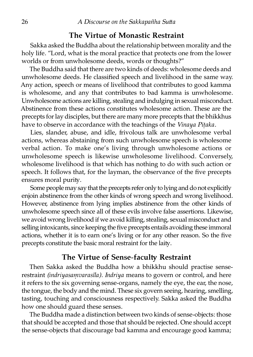#### **The Virtue of Monastic Restraint**

Sakka asked the Buddha about the relationship between morality and the holy life. "Lord, what is the moral practice that protects one from the lower worlds or from unwholesome deeds, words or thoughts?"

The Buddha said that there are two kinds of deeds: wholesome deeds and unwholesome deeds. He classified speech and livelihood in the same way. Any action, speech or means of livelihood that contributes to good kamma is wholesome, and any that contributes to bad kamma is unwholesome. Unwholesome actions are killing, stealing and indulging in sexual misconduct. Abstinence from these actions constitutes wholesome action. These are the precepts for lay disciples, but there are many more precepts that the bhikkhus have to observe in accordance with the teachings of the *Vinaya Piṭaka.*

Lies, slander, abuse, and idle, frivolous talk are unwholesome verbal actions, whereas abstaining from such unwholesome speech is wholesome verbal action. To make one's living through unwholesome actions or unwholesome speech is likewise unwholesome livelihood. Conversely, wholesome livelihood is that which has nothing to do with such action or speech. It follows that, for the layman, the observance of the five precepts ensures moral purity.

Some people may say that the precepts refer only to lying and do not explicitly enjoin abstinence from the other kinds of wrong speech and wrong livelihood. However, abstinence from lying implies abstinence from the other kinds of unwholesome speech since all of these evils involve false assertions. Likewise, we avoid wrong livelihood if we avoid killing, stealing, sexual misconduct and selling intoxicants, since keeping the five precepts entails avoiding these immoral actions, whether it is to earn one's living or for any other reason. So the five precepts constitute the basic moral restraint for the laity.

#### **The Virtue of Sense-faculty Restraint**

Then Sakka asked the Buddha how a bhikkhu should practise senserestraint *(indriyasamvarasīla). Indriya* means to govern or control, and here it refers to the six governing sense-organs, namely the eye, the ear, the nose, the tongue, the body and the mind. These six govern seeing, hearing, smelling, tasting, touching and consciousness respectively. Sakka asked the Buddha how one should guard these senses.

The Buddha made a distinction between two kinds of sense-objects: those that should be accepted and those that should be rejected. One should accept the sense-objects that discourage bad kamma and encourage good kamma;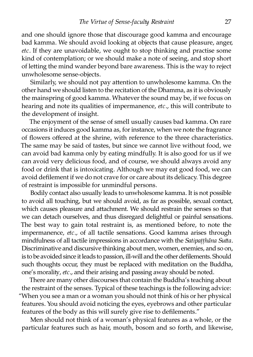and one should ignore those that discourage good kamma and encourage bad kamma. We should avoid looking at objects that cause pleasure, anger, *etc.* If they are unavoidable, we ought to stop thinking and practise some kind of contemplation; or we should make a note of seeing, and stop short of letting the mind wander beyond bare awareness. This is the way to reject unwholesome sense-objects.

Similarly, we should not pay attention to unwholesome kamma. On the other hand we should listen to the recitation of the Dhamma, as it is obviously the mainspring of good kamma. Whatever the sound may be, if we focus on hearing and note its qualities of impermanence, *etc.*, this will contribute to the development of insight.

The enjoyment of the sense of smell usually causes bad kamma. On rare occasions it induces good kamma as, for instance, when we note the fragrance of flowers offered at the shrine, with reference to the three characteristics. The same may be said of tastes, but since we cannot live without food, we can avoid bad kamma only by eating mindfully. It is also good for us if we can avoid very delicious food, and of course, we should always avoid any food or drink that is intoxicating. Although we may eat good food, we can avoid defilement if we do not crave for or care about its delicacy. This degree of restraint is impossible for unmindful persons.

Bodily contact also usually leads to unwholesome kamma. It is not possible to avoid all touching, but we should avoid, as far as possible, sexual contact, which causes pleasure and attachment. We should restrain the senses so that we can detach ourselves, and thus disregard delightful or painful sensations. The best way to gain total restraint is, as mentioned before, to note the impermanence, *etc.,* of all tactile sensations. Good kamma arises through mindfulness of all tactile impressions in accordance with the *Satipatthāna Sutta*. Discriminative and discursive thinking about men, women, enemies, and so on, is to be avoided since it leads to passion, ill-will and the other defilements. Should such thoughts occur, they must be replaced with meditation on the Buddha, one's morality, *etc.*, and their arising and passing away should be noted.

There are many other discourses that contain the Buddha's teaching about the restraint of the senses. Typical of these teachings is the following advice: "When you see a man or a woman you should not think of his or her physical features. You should avoid noticing the eyes, eyebrows and other particular features of the body as this will surely give rise to defilements."

Men should not think of a woman's physical features as a whole, or the particular features such as hair, mouth, bosom and so forth, and likewise,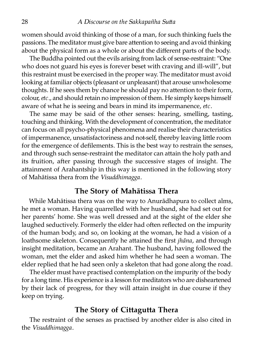women should avoid thinking of those of a man, for such thinking fuels the passions. The meditator must give bare attention to seeing and avoid thinking about the physical form as a whole or about the different parts of the body.

The Buddha pointed out the evils arising from lack of sense-restraint: "One who does not guard his eyes is forever beset with craving and ill-will", but this restraint must be exercised in the proper way. The meditator must avoid looking at familiar objects (pleasant or unpleasant) that arouse unwholesome thoughts. If he sees them by chance he should pay no attention to their form, colour,*etc.,* and should retain no impression of them. He simply keeps himself aware of what he is seeing and bears in mind its impermanence, *etc.*

The same may be said of the other senses: hearing, smelling, tasting, touching and thinking. With the development of concentration, the meditator can focus on all psycho-physical phenomena and realise their characteristics of impermanence, unsatisfactoriness and not-self, thereby leaving little room for the emergence of defilements. This is the best way to restrain the senses, and through such sense-restraint the meditator can attain the holy path and its fruition, after passing through the successive stages of insight. The attainment of Arahantship in this way is mentioned in the following story of Mahātissa thera from the *Visuddhimagga*.

#### **The Story of Mahātissa Thera**

While Mahātissa thera was on the way to Anurādhapura to collect alms, he met a woman. Having quarrelled with her husband, she had set out for her parents' home. She was well dressed and at the sight of the elder she laughed seductively. Formerly the elder had often reflected on the impurity of the human body, and so, on looking at the woman, he had a vision of a loathsome skeleton. Consequently he attained the first *jhāna*, and through insight meditation, became an Arahant. The husband, having followed the woman, met the elder and asked him whether he had seen a woman. The elder replied that he had seen only a skeleton that had gone along the road.

The elder must have practised contemplation on the impurity of the body for a long time. His experience is a lesson for meditators who are disheartened by their lack of progress, for they will attain insight in due course if they keep on trying.

#### **The Story of Cittagutta Thera**

The restraint of the senses as practised by another elder is also cited in the *Visuddhimagga.*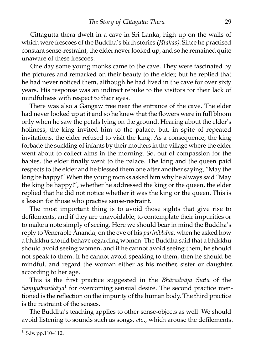Cittagutta thera dwelt in a cave in Sri Lanka, high up on the walls of which were frescoes of the Buddha's birth stories *(Jātakas)*. Since he practised constant sense-restraint, the elder never looked up, and so he remained quite unaware of these frescoes.

One day some young monks came to the cave. They were fascinated by the pictures and remarked on their beauty to the elder, but he replied that he had never noticed them, although he had lived in the cave for over six years. His response was an indirect rebuke to the visitors for their lack of mindfulness with respect to their eyes.

There was also a Gangaw tree near the entrance of the cave. The elder had never looked up at it and so he knew that the flowers were in full bloom only when he saw the petals lying on the ground. Hearing about the elder's holiness, the king invited him to the palace, but, in spite of repeated invitations, the elder refused to visit the king. As a consequence, the king forbade the suckling of infants by their mothers in the village where the elder went about to collect alms in the morning. So, out of compassion for the babies, the elder finally went to the palace. The king and the queen paid respects to the elder and he blessed them one after another saying, "May the king be happy!" When the young monks asked him why he always said "May the king be happy!", whether he addressed the king or the queen, the elder replied that he did not notice whether it was the king or the queen. This is a lesson for those who practise sense-restraint.

The most important thing is to avoid those sights that give rise to defilements, and if they are unavoidable, to contemplate their impurities or to make a note simply of seeing. Here we should bear in mind the Buddha's reply to Venerable Ānanda, on the eve of his *parinibbāna*, when he asked how a bhikkhu should behave regarding women. The Buddha said that a bhikkhu should avoid seeing women, and if he cannot avoid seeing them, he should not speak to them. If he cannot avoid speaking to them, then he should be mindful, and regard the woman either as his mother, sister or daughter, according to her age.

This is the first practice suggested in the *Bhāradvāja Sutta* of the *Samyuttanikāya*<sup>1</sup> for overcoming sensual desire. The second practice mentioned is the reflection on the impurity of the human body. The third practice is the restraint of the senses.

The Buddha's teaching applies to other sense-objects as well. We should avoid listening to sounds such as songs, *etc.,* which arouse the defilements.

 $1$  S.iv. pp.110–112.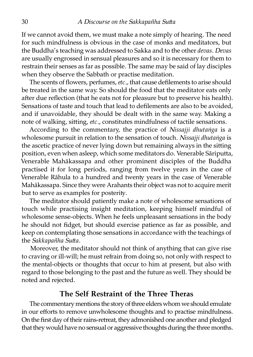If we cannot avoid them, we must make a note simply of hearing. The need for such mindfulness is obvious in the case of monks and meditators, but the Buddha's teaching was addressed to Sakka and to the other *devas. Devas* are usually engrossed in sensual pleasures and so it is necessary for them to restrain their senses as far as possible. The same may be said of lay disciples when they observe the Sabbath or practise meditation.

The scents of flowers, perfumes,*etc.,* that cause defilements to arise should be treated in the same way. So should the food that the meditator eats only after due reflection (that he eats not for pleasure but to preserve his health). Sensations of taste and touch that lead to defilements are also to be avoided, and if unavoidable, they should be dealt with in the same way. Making a note of walking, sitting, *etc.*, constitutes mindfulness of tactile sensations.

According to the commentary, the practice of *Nissajji dhutaṅga* is a wholesome pursuit in relation to the sensation of touch. *Nissajji dhutaṅga* is the ascetic practice of never lying down but remaining always in the sitting position, even when asleep, which some meditators do. Venerable Sāriputta, Venerable Mahākassapa and other prominent disciples of the Buddha practised it for long periods, ranging from twelve years in the case of Venerable Rāhula to a hundred and twenty years in the case of Venerable Mahākassapa. Since they were Arahants their object was not to acquire merit but to serve as examples for posterity.

The meditator should patiently make a note of wholesome sensations of touch while practising insight meditation, keeping himself mindful of wholesome sense-objects. When he feels unpleasant sensations in the body he should not fidget, but should exercise patience as far as possible, and keep on contemplating those sensations in accordance with the teachings of the *Sakkapañha Sutta*.

Moreover, the meditator should not think of anything that can give rise to craving or ill-will; he must refrain from doing so, not only with respect to the mental-objects or thoughts that occur to him at present, but also with regard to those belonging to the past and the future as well. They should be noted and rejected.

#### **The Self Restraint of the Three Theras**

The commentary mentions the story of three elders whom we should emulate in our efforts to remove unwholesome thoughts and to practise mindfulness. On the first day of their rains-retreat, they admonished one another and pledged that they would have no sensual or aggressive thoughts during the three months.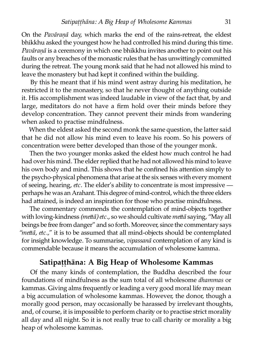On the *Pavāranā* day, which marks the end of the rains-retreat, the eldest bhikkhu asked the youngest how he had controlled his mind during this time. *Pavāraṇā* is a ceremony in which one bhikkhu invites another to point out his faults or any breaches of the monastic rules that he has unwittingly committed during the retreat. The young monk said that he had not allowed his mind to leave the monastery but had kept it confined within the building.

By this he meant that if his mind went astray during his meditation, he restricted it to the monastery, so that he never thought of anything outside it. His accomplishment was indeed laudable in view of the fact that, by and large, meditators do not have a firm hold over their minds before they develop concentration. They cannot prevent their minds from wandering when asked to practise mindfulness.

When the eldest asked the second monk the same question, the latter said that he did not allow his mind even to leave his room. So his powers of concentration were better developed than those of the younger monk.

Then the two younger monks asked the eldest how much control he had had over his mind. The elder replied that he had not allowed his mind to leave his own body and mind. This shows that he confined his attention simply to the psycho-physical phenomena that arise at the six senses with every moment of seeing, hearing, *etc*. The elder's ability to concentrate is most impressive perhaps he was an Arahant. This degree of mind-control, which the three elders had attained, is indeed an inspiration for those who practise mindfulness.

The commentary commends the contemplation of mind-objects together with loving-kindness *(meā) etc.,* so we should cultivate *meā* saying, "May all beings be free from danger" and so forth. Moreover, since the commentary says *"meā, etc.,*" it is to be assumed that all mind-objects should be contemplated for insight knowledge. To summarise, *vipassanā* contemplation of any kind is commendable because it means the accumulation of wholesome kamma.

#### **Satipaṭṭhāna: A Big Heap of Wholesome Kammas**

Of the many kinds of contemplation, the Buddha described the four foundations of mindfulness as the sum total of all wholesome *dhammas* or kammas. Giving alms frequently or leading a very good moral life may mean a big accumulation of wholesome kammas. However, the donor, though a morally good person, may occasionally be harassed by irrelevant thoughts, and, of course, it is impossible to perform charity or to practise strict morality all day and all night. So it is not really true to call charity or morality a big heap of wholesome kammas.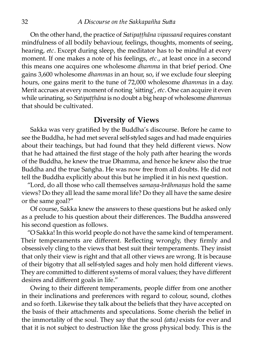On the other hand, the practice of *Satipaṭṭhāna vipassanā* requires constant mindfulness of all bodily behaviour, feelings, thoughts, moments of seeing, hearing, *etc.* Except during sleep, the meditator has to be mindful at every moment. If one makes a note of his feelings, *etc.,* at least once in a second this means one acquires one wholesome *dhamma* in that brief period. One gains 3,600 wholesome *dhammas* in an hour, so, if we exclude four sleeping hours, one gains merit to the tune of 72,000 wholesome *dhammas* in a day. Merit accrues at every moment of noting 'sitting', etc. One can acquire it even while urinating, so *Satipaṭṭhāna* is no doubt a big heap of wholesome *dhammas* that should be cultivated.

#### **Diversity of Views**

Sakka was very gratified by the Buddha's discourse. Before he came to see the Buddha, he had met several self-styled sages and had made enquiries about their teachings, but had found that they held different views. Now that he had attained the first stage of the holy path after hearing the words of the Buddha, he knew the true Dhamma, and hence he knew also the true Buddha and the true Saṅgha. He was now free from all doubts. He did not tell the Buddha explicitly about this but he implied it in his next question.

"Lord, do all those who call themselves *samaṇa-brāhmaṇas* hold the same views? Do they all lead the same moral life? Do they all have the same desire or the same goal?"

Of course, Sakka knew the answers to these questions but he asked only as a prelude to his question about their differences. The Buddha answered his second question as follows.

"O Sakka! In this world people do not have the same kind of temperament. Their temperaments are different. Reflecting wrongly, they firmly and obsessively cling to the views that best suit their temperaments. They insist that only their view is right and that all other views are wrong. It is because of their bigotry that all self-styled sages and holy men hold different views. They are committed to different systems of moral values; they have different desires and different goals in life."

Owing to their different temperaments, people differ from one another in their inclinations and preferences with regard to colour, sound, clothes and so forth. Likewise they talk about the beliefs that they have accepted on the basis of their attachments and speculations. Some cherish the belief in the immortality of the soul. They say that the soul *(atta)* exists for ever and that it is not subject to destruction like the gross physical body. This is the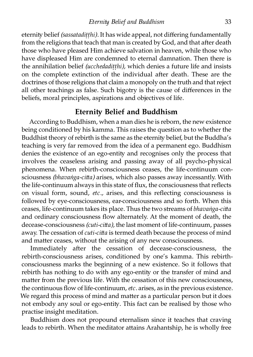eternity belief *(sassataditthi)*. It has wide appeal, not differing fundamentally from the religions that teach that man is created by God, and that after death those who have pleased Him achieve salvation in heaven, while those who have displeased Him are condemned to eternal damnation. Then there is the annihilation belief *(ucchedadiṭṭhi),* which denies a future life and insists on the complete extinction of the individual after death. These are the doctrines of those religions that claim a monopoly on the truth and that reject all other teachings as false. Such bigotry is the cause of differences in the beliefs, moral principles, aspirations and objectives of life.

#### **Eternity Belief and Buddhism**

According to Buddhism, when a man dies he is reborn, the new existence being conditioned by his kamma. This raises the question as to whether the Buddhist theory of rebirth is the same as the eternity belief, but the Buddha's teaching is very far removed from the idea of a permanent ego. Buddhism denies the existence of an ego-entity and recognises only the process that involves the ceaseless arising and passing away of all psycho-physical phenomena. When rebirth-consciousness ceases, the life-continuum consciousness *(bhavaṅga-citta)* arises, which also passes away incessantly. With the life-continuum always in this state of flux, the consciousness that reflects on visual form, sound, *etc.,* arises, and this reflecting consciousness is followed by eye-consciousness, ear-consciousness and so forth. When this ceases, life-continuum takes its place. Thus the two streams of *bhavaṅga-citta* and ordinary consciousness flow alternately. At the moment of death, the decease-consciousness *(cuti-cia),* the last moment of life-continuum, passes away. The cessation of *cuti-citta* is termed death because the process of mind and matter ceases, without the arising of any new consciousness.

Immediately after the cessation of decease-consciousness, the rebirth-consciousness arises, conditioned by one's kamma. This rebirthconsciousness marks the beginning of a new existence. So it follows that rebirth has nothing to do with any ego-entity or the transfer of mind and matter from the previous life. With the cessation of this new consciousness, the continuous flow of life-continuum,*etc.* arises, as in the previous existence. We regard this process of mind and matter as a particular person but it does not embody any soul or ego-entity. This fact can be realised by those who practise insight meditation.

Buddhism does not propound eternalism since it teaches that craving leads to rebirth. When the meditator attains Arahantship, he is wholly free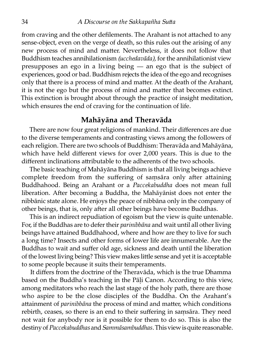from craving and the other defilements. The Arahant is not attached to any sense-object, even on the verge of death, so this rules out the arising of any new process of mind and matter. Nevertheless, it does not follow that Buddhism teaches annihilationism *(ucchedavāda),* for the annihilationist view presupposes an ego in a living being — an ego that is the subject of experiences, good or bad. Buddhism rejects the idea of the ego and recognises only that there is a process of mind and matter. At the death of the Arahant, it is not the ego but the process of mind and matter that becomes extinct. This extinction is brought about through the practice of insight meditation, which ensures the end of craving for the continuation of life.

#### **Mahāyāna and Theravāda**

There are now four great religions of mankind. Their differences are due to the diverse temperaments and contrasting views among the followers of each religion. There are two schools of Buddhism: Theravāda and Mahāyāna, which have held different views for over 2,000 years. This is due to the different inclinations attributable to the adherents of the two schools.

The basic teaching of Mahāyāna Buddhism is that all living beings achieve complete freedom from the suffering of samsara only after attaining Buddhahood. Being an Arahant or a *Paccekabuddha* does not mean full liberation. After becoming a Buddha, the Mahāyānist does not enter the nibbānic state alone. He enjoys the peace of nibbāna only in the company of other beings, that is, only after all other beings have become Buddhas.

This is an indirect repudiation of egoism but the view is quite untenable. For, if the Buddhas are to defer their *parinibbāna* and wait until all other living beings have attained Buddhahood, where and how are they to live for such a long time? Insects and other forms of lower life are innumerable. Are the Buddhas to wait and suffer old age, sickness and death until the liberation of the lowest living being? This view makes little sense and yet it is acceptable to some people because it suits their temperaments.

It differs from the doctrine of the Theravāda, which is the true Dhamma based on the Buddha's teaching in the Pāḷi Canon. According to this view, among meditators who reach the last stage of the holy path, there are those who aspire to be the close disciples of the Buddha. On the Arahant's attainment of *parinibbāna* the process of mind and matter, which conditions rebirth, ceases, so there is an end to their suffering in saṃsāra. They need not wait for anybody nor is it possible for them to do so. This is also the destiny of*Paccekabuddhas* and*Sammāsambuddhas.* This view is quite reasonable.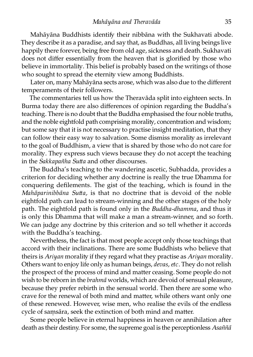Mahāyāna Buddhists identify their nibbāna with the Sukhavati abode. They describe it as a paradise, and say that, as Buddhas, all living beings live happily there forever, being free from old age, sickness and death. Sukhavati does not differ essentially from the heaven that is glorified by those who believe in immortality. This belief is probably based on the writings of those who sought to spread the eternity view among Buddhists.

Later on, many Mahāyāna sects arose, which was also due to the different temperaments of their followers.

The commentaries tell us how the Theravāda split into eighteen sects. In Burma today there are also differences of opinion regarding the Buddha's teaching. There is no doubt that the Buddha emphasised the four noble truths, and the noble eightfold path comprising morality, concentration and wisdom; but some say that it is not necessary to practise insight meditation, that they can follow their easy way to salvation. Some dismiss morality as irrelevant to the goal of Buddhism, a view that is shared by those who do not care for morality. They express such views because they do not accept the teaching in the *Sakkapañha Sutta* and other discourses.

The Buddha's teaching to the wandering ascetic, Subhadda, provides a criterion for deciding whether any doctrine is really the true Dhamma for conquering defilements. The gist of the teaching, which is found in the *Mahāparinibbāna Sutta*, is that no doctrine that is devoid of the noble eightfold path can lead to stream-winning and the other stages of the holy path. The eightfold path is found only in the *Buddha-dhamma*, and thus it is only this Dhamma that will make a man a stream-winner, and so forth. We can judge any doctrine by this criterion and so tell whether it accords with the Buddha's teaching.

Nevertheless, the fact is that most people accept only those teachings that accord with their inclinations. There are some Buddhists who believe that theirs is *Ariyan* morality if they regard what they practise as *Ariyan* morality. Others want to enjoy life only as human beings, *devas, etc.* They do not relish the prospect of the process of mind and matter ceasing. Some people do not wish to be reborn in the *brahmā* worlds, which are devoid of sensual pleasure, because they prefer rebirth in the sensual world. Then there are some who crave for the renewal of both mind and matter, while others want only one of these renewed. However, wise men, who realise the evils of the endless cycle of samsāra, seek the extinction of both mind and matter.

Some people believe in eternal happiness in heaven or annihilation after death as their destiny. For some, the supreme goal is the perceptionless *Asaññā*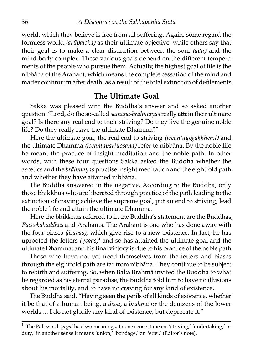world, which they believe is free from all suffering. Again, some regard the formless world *(arūpaloka)* as their ultimate objective, while others say that their goal is to make a clear distinction between the soul *(atta)* and the mind-body complex. These various goals depend on the different temperaments of the people who pursue them. Actually, the highest goal of life is the nibbāna of the Arahant, which means the complete cessation of the mind and matter continuum after death, as a result of the total extinction of defilements.

#### **The Ultimate Goal**

Sakka was pleased with the Buddha's answer and so asked another question: "Lord, do the so-called *samana-brāhmanas* really attain their ultimate goal? Is there any real end to their striving? Do they live the genuine noble life? Do they really have the ultimate Dhamma?"

Here the ultimate goal, the real end to striving *(iccantayogakkhemi)* and the ultimate Dhamma *(iccantapariyosana)* refer to nibbāna. By the noble life he meant the practice of insight meditation and the noble path. In other words, with these four questions Sakka asked the Buddha whether the ascetics and the *brāhmaṇas* practise insight meditation and the eightfold path, and whether they have attained nibbāna.

The Buddha answered in the negative. According to the Buddha, only those bhikkhus who are liberated through practice of the path leading to the extinction of craving achieve the supreme goal, put an end to striving, lead the noble life and attain the ultimate Dhamma.

Here the bhikkhus referred to in the Buddha's statement are the Buddhas, *Paccekabuddhas* and Arahants. The Arahant is one who has done away with the four biases *(āsavas),* which give rise to a new existence. In fact, he has uprooted the fetters *(yogas)*<sup>1</sup> and so has attained the ultimate goal and the ultimate Dhamma; and his final victory is due to his practice of the noble path.

Those who have not yet freed themselves from the fetters and biases through the eightfold path are far from nibbāna. They continue to be subject to rebirth and suffering. So, when Baka Brahmā invited the Buddha to what he regarded as his eternal paradise, the Buddha told him to have no illusions about his mortality, and to have no craving for any kind of existence.

The Buddha said, "Having seen the perils of all kinds of existence, whether it be that of a human being, a *deva,* a *brahmā* or the denizens of the lower worlds ... I do not glorify any kind of existence, but deprecate it."

<sup>&</sup>lt;sup>1</sup> The Pāli word 'yoga' has two meanings. In one sense it means 'striving,' 'undertaking,' or 'duty,' in another sense it means 'union,' 'bondage,' or 'fetter.' (Editor's note).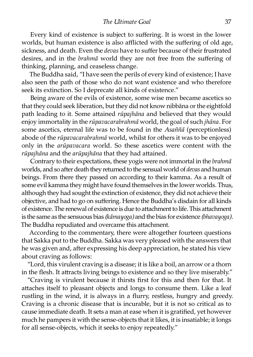Every kind of existence is subject to suffering. It is worst in the lower worlds, but human existence is also afflicted with the suffering of old age, sickness, and death. Even the *devas* have to suffer because of their frustrated desires, and in the *brahmā* world they are not free from the suffering of thinking, planning, and ceaseless change.

The Buddha said, "I have seen the perils of every kind of existence; I have also seen the path of those who do not want existence and who therefore seek its extinction. So I deprecate all kinds of existence."

Being aware of the evils of existence, some wise men became ascetics so that they could seek liberation, but they did not know nibbāna or the eightfold path leading to it. Some attained *rūpajhāna* and believed that they would enjoy immortality in the *rūpavacarabrahmā* world, the goal of such *jhāna*. For some ascetics, eternal life was to be found in the *Asaññā* (perceptionless) abode of the *rūpavacarabrahmā* world, whilst for others it was to be enjoyed only in the *arūpavacara* world. So these ascetics were content with the rūpajhāna and the arūpajhāna that they had attained.

Contrary to their expectations, these yogis were not immortal in the *brahmā* worlds, and so after death they returned to the sensual world of *devas* and human beings. From there they passed on according to their kamma. As a result of some evil kamma they might have found themselves in the lower worlds. Thus, although they had sought the extinction of existence, they did not achieve their objective, and had to go on suffering. Hence the Buddha's disdain for all kinds of existence. The renewal of existence is due to attachment to life. This attachment is the same as the sensuous bias *(kāmayoga)* and the bias for existence *(bhavayoga).* The Buddha repudiated and overcame this attachment.

According to the commentary, there were altogether fourteen questions that Sakka put to the Buddha. Sakka was very pleased with the answers that he was given and, after expressing his deep appreciation, he stated his view about craving as follows:

"Lord, this virulent craving is a disease; it is like a boil, an arrow or a thorn in the flesh. It attracts living beings to existence and so they live miserably."

"Craving is virulent because it thirsts first for this and then for that. It attaches itself to pleasant objects and longs to consume them. Like a leaf rustling in the wind, it is always in a flurry, restless, hungry and greedy. Craving is a chronic disease that is incurable, but it is not so critical as to cause immediate death. It sets a man at ease when it is gratified, yet however much he pampers it with the sense-objects that it likes, it is insatiable; it longs for all sense-objects, which it seeks to enjoy repeatedly."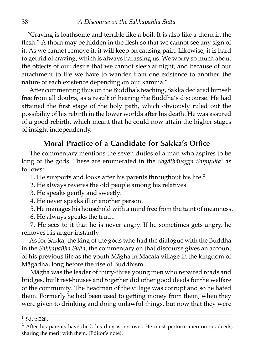"Craving is loathsome and terrible like a boil. It is also like a thorn in the flesh." A thorn may be hidden in the flesh so that we cannot see any sign of it. As we cannot remove it, it will keep on causing pain. Likewise, it is hard to get rid of craving, which is always harassing us. We worry so much about the objects of our desire that we cannot sleep at night, and because of our attachment to life we have to wander from one existence to another, the nature of each existence depending on our kamma."

After commenting thus on the Buddha's teaching, Sakka declared himself free from all doubts, as a result of hearing the Buddha's discourse. He had attained the first stage of the holy path, which obviously ruled out the possibility of his rebirth in the lower worlds after his death. He was assured of a good rebirth, which meant that he could now attain the higher stages of insight independently.

#### **Moral Practice of a Candidate for Sakka's Office**

The commentary mentions the seven duties of a man who aspires to be king of the gods. These are enumerated in the *Sagāthāvagga Samyutta*<sup>1</sup> as follows:

1. He supports and looks after his parents throughout his life.<sup>2</sup>

2. He always reveres the old people among his relatives.

3. He speaks gently and sweetly.

4. He never speaks ill of another person.

5. He manages his household with a mind free from the taint of meanness.

6. He always speaks the truth.

7. He sees to it that he is never angry. If he sometimes gets angry, he removes his anger instantly.

As for Sakka, the king of the gods who had the dialogue with the Buddha in the *Sakkapañha Sutta*, the commentary on that discourse gives an account of his previous life as the youth Māgha in Macala village in the kingdom of Māgadha, long before the rise of Buddhism.

Māgha was the leader of thirty-three young men who repaired roads and bridges, built rest-houses and together did other good deeds for the welfare of the community. The headman of the village was corrupt and so he hated them. Formerly he had been used to getting money from them, when they were given to drinking and doing unlawful things, but now that they were

 $1$  S.i. p.228.

 $<sup>2</sup>$  After his parents have died, his duty is not over. He must perform meritorious deeds,</sup> sharing the merit with them. (Editor's note).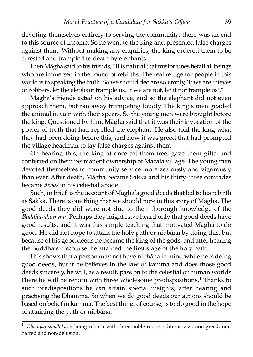devoting themselves entirely to serving the community, there was an end to this source of income. So he went to the king and presented false charges against them. Without making any enquiries, the king ordered them to be arrested and trampled to death by elephants.

Then Māgha said to his friends, "It is natural that misfortunes befall all beings who are immersed in the round of rebirths. The real refuge for people in this world is in speaking the truth. So we should declare solemnly, 'If we are thieves or robbers, let the elephant trample us. If we are not, let it not trample us'."

Māgha's friends acted on his advice, and so the elephant did not even approach them, but ran away trumpeting loudly. The king's men goaded the animal in vain with their spears. So the young men were brought before the king. Questioned by him, Māgha said that it was their invocation of the power of truth that had repelled the elephant. He also told the king what they had been doing before this, and how it was greed that had prompted the village headman to lay false charges against them.

On hearing this, the king at once set them free, gave them gifts, and conferred on them permanent ownership of Macala village. The young men devoted themselves to community service more zealously and vigorously than ever. After death, Māgha became Sakka and his thirty-three comrades became *devas* in his celestial abode.

Such, in brief, is the account of Māgha's good deeds that led to his rebirth as Sakka. There is one thing that we should note in this story of Māgha. The good deeds they did were not due to their thorough knowledge of the *Buddha-dhamma.* Perhaps they might have heard only that good deeds have good results, and it was this simple teaching that motivated Māgha to do good. He did not hope to attain the holy path or nibbāna by doing this, but because of his good deeds he became the king of the gods, and after hearing the Buddha's discourse, he attained the first stage of the holy path.

This shows that a person may not have nibbāna in mind while he is doing good deeds, but if he believes in the law of kamma and does those good deeds sincerely, he will, as a result, pass on to the celestial or human worlds. There he will be reborn with three wholesome predispositions.<sup>1</sup> Thanks to such predispositions he can attain special insights, after hearing and practising the Dhamma. So when we do good deeds our actions should be based on belief in kamma. The best thing, of course, is to do good in the hope of attaining the path or nibbāna.

Tihetupatisandhika: = being reborn with three noble root-conditions viz., non-greed, nonhatred and non-delusion.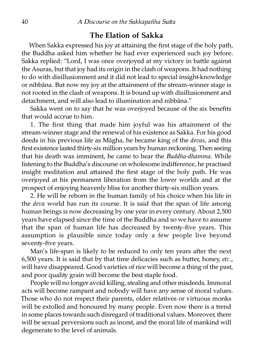#### **The Elation of Sakka**

When Sakka expressed his joy at attaining the first stage of the holy path, the Buddha asked him whether he had ever experienced such joy before. Sakka replied: "Lord, I was once overjoyed at my victory in battle against the Asuras, but that joy had its origin in the clash of weapons. It had nothing to do with disillusionment and it did not lead to special insight-knowledge or nibbāna. But now my joy at the attainment of the stream-winner stage is not rooted in the clash of weapons. It is bound up with disillusionment and detachment, and will also lead to illumination and nibbāna."

Sakka went on to say that he was overjoyed because of the six benefits that would accrue to him.

1. The first thing that made him joyful was his attainment of the stream-winner stage and the renewal of his existence as Sakka. For his good deeds in his previous life as Māgha, he became king of the *devas,* and this first existence lasted thirty-six million years by human reckoning. Then seeing that his death was imminent, he came to hear the *Buddha-dhamma.* While listening to the Buddha's discourse on wholesome indifference, he practised insight meditation and attained the first stage of the holy path. He was overjoyed at his permanent liberation from the lower worlds and at the prospect of enjoying heavenly bliss for another thirty-six million years.

2. He will be reborn in the human family of his choice when his life in the *deva* world has run its course. It is said that the span of life among human beings is now decreasing by one year in every century. About 2,500 years have elapsed since the time of the Buddha and so we have to assume that the span of human life has decreased by twenty-five years. This assumption is plausible since today only a few people live beyond seventy-five years.

Man's life-span is likely to be reduced to only ten years after the next 6,500 years. It is said that by that time delicacies such as butter, honey, *etc.*, will have disappeared. Good varieties of rice will become a thing of the past, and poor quality grain will become the best staple food.

People will no longer avoid killing, stealing and other misdeeds. Immoral acts will become rampant and nobody will have any sense of moral values. Those who do not respect their parents, older relatives or virtuous monks will be extolled and honoured by many people. Even now there is a trend in some places towards such disregard of traditional values. Moreover, there will be sexual perversions such as incest, and the moral life of mankind will degenerate to the level of animals.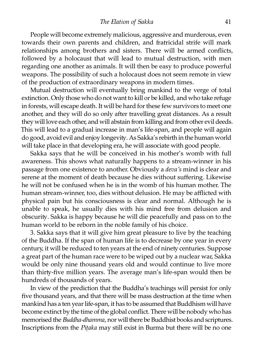*The Elation of Sakka* 41

People will become extremely malicious, aggressive and murderous, even towards their own parents and children, and fratricidal strife will mark relationships among brothers and sisters. There will be armed conflicts, followed by a holocaust that will lead to mutual destruction, with men regarding one another as animals. It will then be easy to produce powerful weapons. The possibility of such a holocaust does not seem remote in view of the production of extraordinary weapons in modern times.

Mutual destruction will eventually bring mankind to the verge of total extinction. Only those who do not want to kill or be killed, and who take refuge in forests, will escape death. It will be hard for these few survivors to meet one another, and they will do so only after travelling great distances. As a result they will love each other, and will abstain from killing and from other evil deeds. This will lead to a gradual increase in man's life-span, and people will again do good, avoid evil and enjoy longevity. As Sakka's rebirth in the human world will take place in that developing era, he will associate with good people.

Sakka says that he will be conceived in his mother's womb with full awareness. This shows what naturally happens to a stream-winner in his passage from one existence to another. Obviously a *deva's* mind is clear and serene at the moment of death because he dies without suffering. Likewise he will not be confused when he is in the womb of his human mother. The human stream-winner, too, dies without delusion. He may be afflicted with physical pain but his consciousness is clear and normal. Although he is unable to speak, he usually dies with his mind free from delusion and obscurity. Sakka is happy because he will die peacefully and pass on to the human world to be reborn in the noble family of his choice.

3. Sakka says that it will give him great pleasure to live by the teaching of the Buddha. If the span of human life is to decrease by one year in every century, it will be reduced to ten years at the end of ninety centuries. Suppose a great part of the human race were to be wiped out by a nuclear war, Sakka would be only nine thousand years old and would continue to live more than thirty-five million years. The average man's life-span would then be hundreds of thousands of years.

In view of the prediction that the Buddha's teachings will persist for only five thousand years, and that there will be mass destruction at the time when mankind has a ten year life-span, it has to be assumed that Buddhism will have become extinct by the time of the global conflict. There will be nobody who has memorised the*Buddha-dhamma,* nor will there be Buddhist books and scriptures. Inscriptions from the *Pitaka* may still exist in Burma but there will be no one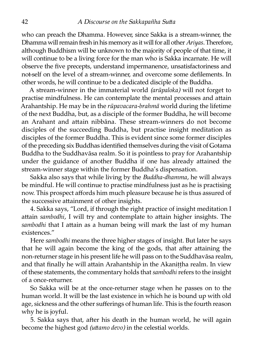who can preach the Dhamma. However, since Sakka is a stream-winner, the Dhamma will remain fresh in his memory as it will for all other *Ariyas*. Therefore, although Buddhism will be unknown to the majority of people of that time, it will continue to be a living force for the man who is Sakka incarnate. He will observe the five precepts, understand impermanence, unsatisfactoriness and not-self on the level of a stream-winner, and overcome some defilements. In other words, he will continue to be a dedicated disciple of the Buddha.

A stream-winner in the immaterial world *(arūpaloka)* will not forget to practise mindfulness. He can contemplate the mental processes and attain Arahantship. He may be in the *rūpavacara-brahmā* world during the lifetime of the next Buddha, but, as a disciple of the former Buddha, he will become an Arahant and attain nibbāna. These stream-winners do not become disciples of the succeeding Buddha, but practise insight meditation as disciples of the former Buddha. This is evident since some former disciples of the preceding six Buddhas identified themselves during the visit of Gotama Buddha to the Suddhavāsa realm. So it is pointless to pray for Arahantship under the guidance of another Buddha if one has already attained the stream-winner stage within the former Buddha's dispensation.

Sakka also says that while living by the *Buddha-dhamma,* he will always be mindful. He will continue to practise mindfulness just as he is practising now. This prospect affords him much pleasure because he is thus assured of the successive attainment of other insights.

4. Sakka says, "Lord, if through the right practice of insight meditation I attain *sambodhi*, I will try and contemplate to attain higher insights. The sambodhi that I attain as a human being will mark the last of my human existences."

Here *sambodhi* means the three higher stages of insight. But later he says that he will again become the king of the gods, that after attaining the non-returner stage in his present life he will pass on to the Suddhavāsa realm, and that finally he will attain Arahantship in the Akanittha realm. In view of these statements, the commentary holds that *sambodhi* refers to the insight of a once-returner.

So Sakka will be at the once-returner stage when he passes on to the human world. It will be the last existence in which he is bound up with old age, sickness and the other sufferings of human life. This is the fourth reason why he is joyful.

5. Sakka says that, after his death in the human world, he will again become the highest god *(uttamo devo)* in the celestial worlds.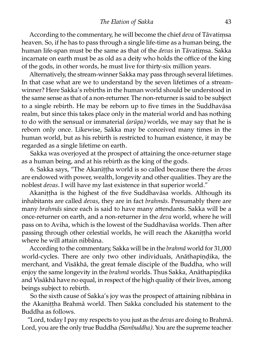According to the commentary, he will become the chief *deva* of Tāvatiṃsa heaven. So, if he has to pass through a single life-time as a human being, the human life-span must be the same as that of the *devas* in Tāvatiṃsa. Sakka incarnate on earth must be as old as a deity who holds the office of the king of the gods, in other words, he must live for thirty-six million years.

Alternatively, the stream-winner Sakka may pass through several lifetimes. In that case what are we to understand by the seven lifetimes of a streamwinner? Here Sakka's rebirths in the human world should be understood in the same sense as that of a non-returner. The non-returner is said to be subject to a single rebirth. He may be reborn up to five times in the Suddhavāsa realm, but since this takes place only in the material world and has nothing to do with the sensual or immaterial *(arūpa)* worlds, we may say that he is reborn only once. Likewise, Sakka may be conceived many times in the human world, but as his rebirth is restricted to human existence, it may be regarded as a single lifetime on earth.

Sakka was overjoyed at the prospect of attaining the once-returner stage as a human being, and at his rebirth as the king of the gods.

6. Sakka says, "The Akaniṭṭha world is so called because there the *devas* are endowed with power, wealth, longevity and other qualities. They are the noblest *devas.* I will have my last existence in that superior world."

Akanittha is the highest of the five Suddhavāsa worlds. Although its inhabitants are called *devas,* they are in fact *brahmās*. Presumably there are many *brahmās* since each is said to have many attendants. Sakka will be a once-returner on earth, and a non-returner in the *deva* world, where he will pass on to Aviha, which is the lowest of the Suddhavāsa worlds. Then after passing through other celestial worlds, he will reach the Akanittha world where he will attain nibbāna.

According to the commentary, Sakka will be in the *brahmā* world for 31,000 world-cycles. There are only two other individuals, Anāthapindika, the merchant, and Visākhā, the great female disciple of the Buddha, who will enjoy the same longevity in the *brahmā* worlds. Thus Sakka, Anāthapindika and Visākhā have no equal, in respect of the high quality of their lives, among beings subject to rebirth.

So the sixth cause of Sakka's joy was the prospect of attaining nibbāna in the Akaniṭṭha Brahmā world. Then Sakka concluded his statement to the Buddha as follows.

"Lord, today I pay my respects to you just as the *devas* are doing to Brahmā. Lord, you are the only true Buddha *(Sambuddha)*. You are the supreme teacher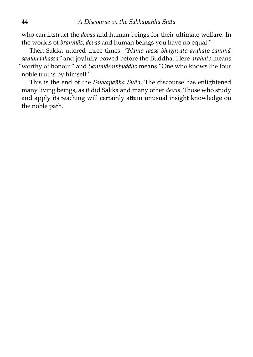who can instruct the *devas* and human beings for their ultimate welfare. In the worlds of *brahmās, devas* and human beings you have no equal."

Then Sakka uttered three times: "Namo tassa bhagavato arahato sammā*sambuddhassa"* and joyfully bowed before the Buddha. Here *arahato* means "worthy of honour" and *Sammāsambuddho* means "One who knows the four noble truths by himself."

This is the end of the *Sakkapañha Sutta*. The discourse has enlightened many living beings, as it did Sakka and many other *devas.* Those who study and apply its teaching will certainly attain unusual insight knowledge on the noble path.